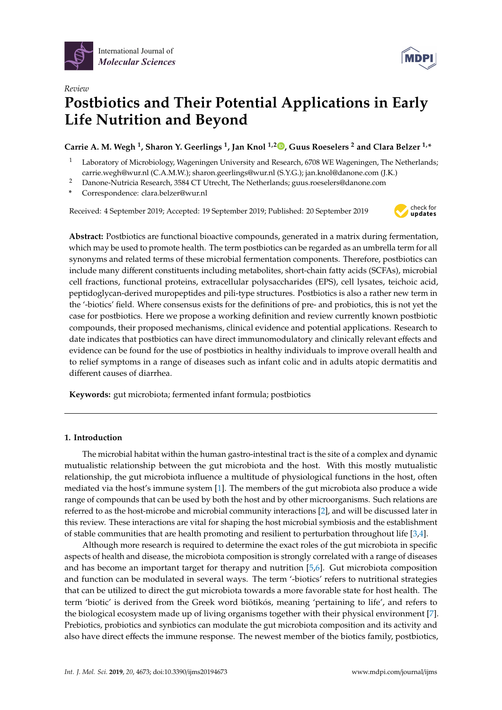

*Review*



# **Postbiotics and Their Potential Applications in Early Life Nutrition and Beyond**

# **Carrie A. M. Wegh <sup>1</sup> , Sharon Y. Geerlings <sup>1</sup> , Jan Knol 1,2 [,](https://orcid.org/0000-0002-2103-5961) Guus Roeselers <sup>2</sup> and Clara Belzer 1,\***

- Laboratory of Microbiology, Wageningen University and Research, 6708 WE Wageningen, The Netherlands; carrie.wegh@wur.nl (C.A.M.W.); sharon.geerlings@wur.nl (S.Y.G.); jan.knol@danone.com (J.K.)
- <sup>2</sup> Danone-Nutricia Research, 3584 CT Utrecht, The Netherlands; guus.roeselers@danone.com
- **\*** Correspondence: clara.belzer@wur.nl

Received: 4 September 2019; Accepted: 19 September 2019; Published: 20 September 2019



**Abstract:** Postbiotics are functional bioactive compounds, generated in a matrix during fermentation, which may be used to promote health. The term postbiotics can be regarded as an umbrella term for all synonyms and related terms of these microbial fermentation components. Therefore, postbiotics can include many different constituents including metabolites, short-chain fatty acids (SCFAs), microbial cell fractions, functional proteins, extracellular polysaccharides (EPS), cell lysates, teichoic acid, peptidoglycan-derived muropeptides and pili-type structures. Postbiotics is also a rather new term in the '-biotics' field. Where consensus exists for the definitions of pre- and probiotics, this is not yet the case for postbiotics. Here we propose a working definition and review currently known postbiotic compounds, their proposed mechanisms, clinical evidence and potential applications. Research to date indicates that postbiotics can have direct immunomodulatory and clinically relevant effects and evidence can be found for the use of postbiotics in healthy individuals to improve overall health and to relief symptoms in a range of diseases such as infant colic and in adults atopic dermatitis and different causes of diarrhea.

**Keywords:** gut microbiota; fermented infant formula; postbiotics

## **1. Introduction**

The microbial habitat within the human gastro-intestinal tract is the site of a complex and dynamic mutualistic relationship between the gut microbiota and the host. With this mostly mutualistic relationship, the gut microbiota influence a multitude of physiological functions in the host, often mediated via the host's immune system [\[1\]](#page-16-0). The members of the gut microbiota also produce a wide range of compounds that can be used by both the host and by other microorganisms. Such relations are referred to as the host-microbe and microbial community interactions [\[2\]](#page-16-1), and will be discussed later in this review. These interactions are vital for shaping the host microbial symbiosis and the establishment of stable communities that are health promoting and resilient to perturbation throughout life [\[3](#page-16-2)[,4\]](#page-17-0).

Although more research is required to determine the exact roles of the gut microbiota in specific aspects of health and disease, the microbiota composition is strongly correlated with a range of diseases and has become an important target for therapy and nutrition [\[5](#page-17-1)[,6\]](#page-17-2). Gut microbiota composition and function can be modulated in several ways. The term '-biotics' refers to nutritional strategies that can be utilized to direct the gut microbiota towards a more favorable state for host health. The term 'biotic' is derived from the Greek word biotikós, meaning 'pertaining to life', and refers to the biological ecosystem made up of living organisms together with their physical environment [\[7\]](#page-17-3). Prebiotics, probiotics and synbiotics can modulate the gut microbiota composition and its activity and also have direct effects the immune response. The newest member of the biotics family, postbiotics,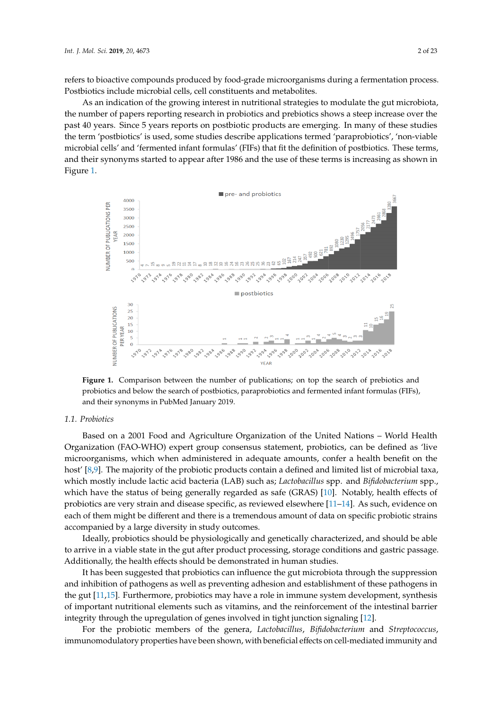refers to bioactive compounds produced by food-grade microorganisms during a fermentation process.<br>Family, the compounds produced by food-grade microorganisms during a fermentation process. Postbiotics include microbial cells, cell constituents and metabolites.

As an indication of the growing interest in nutritional strategies to modulate the gut microbiota, the number of papers reporting research in probiotics and prebiotics shows a steep increase over the As an indication of the growing interest in nutritional strategies to modulate the gut microbiota, past 40 years. Since 5 years reports on postbiotic products are emerging. In many of these studies past 10 years. Since 5 years reports on positione products are emerging. In many of these studies the term 'postbiotics' is used, some studies describe applications termed 'paraprobiotics', 'non-viable microbial cells' and 'fermented infant formulas' (FIFs) that fit the definition of postbiotics. These terms, microbial cells' and 'fermented infant formulas' (FIFs) that in the definition of postbiotics. These terms, and their synonyms started to appear after 1986 and the use of these terms is increasing as shown in Figure [1.](#page-1-0) the number of papers reporting research in probiotics and prebiotics shows a steep increase over the term 'postbiotics' is used, some studies describe applications termed 'paraprobiotics', 'non-viable the area by nonymo started to appear after 1986 and the use of these terms is increasing as shown in

<span id="page-1-0"></span>

**Figure 1.** Comparison between the number of publications; on top the search of prebiotics and **Figure 1.** Comparison between the number of publications; on top the search of prebiotics and probiotics and below the search of postbiotics, paraprobiotics and fermented infant formulas (FIFs), probiotics and below the search of postbiotics, paraprobiotics and fermented infant formulas (FIFs), and their synonyms in PubMed January 2019. and their synonyms in PubMed January 2019.

## *1.1. Probiotics 1.1. Probiotics*

Based on a 2001 Food and Agriculture Organization of the United Nations – World Health Based on a 2001 Food and Agriculture Organization of the United Nations – World Health Organization (FAO-WHO) expert group consensus statement, probiotics, can be defined as 'live Organization (FAO-WHO) expert group consensus statement, probiotics, can be defined as 'live microorganisms, which when administered in adequate amounts, confer a health benefit on the host' [\[8](#page-17-4)[,9\]](#page-17-5). The majority of the probiotic products contain a defined and limited list of microbial taxa, which mostly include lactic acid bacteria (LAB) such as; *Lactobacillus* spp. and *Bifidobacterium* spp., which have the status of being generally regarded as safe (GRAS) [\[10\]](#page-17-6). Notably, health effects of probiotics are very strain and disease specific, as reviewed elsewhere [\[11](#page-17-7)[–14\]](#page-17-8). As such, evidence on might be different and there is a tremendous amount of data on specific probiotic strains each of them might be different and there is a tremendous amount of data on specific probiotic strains accompanied by a large diversity in study outcomes. accompanied by a large diversity in study outcomes.

Ideally, probiotics should be physiologically and genetically characterized, and should be able Ideally, probiotics should be physiologically and genetically characterized, and should be able to arrive in a viable state in the gut after product processing, storage conditions and gastric passage. to arrive in a viable state in the gut after product processing, storage conditions and gastric passage. Additionally, the health effects should be demonstrated in human studies. Additionally, the health effects should be demonstrated in human studies.

It has been suggested that probiotics can influence the gut microbiota through the suppression It has been suggested that probiotics can influence the gut microbiota through the suppression and inhibition of pathogens as well as preventing adhesion and establishment of these pathogens in and inhibition of pathogens as well as preventing adhesion and establishment of these pathogens in the gut [11,15]. Furthermore, probiotics may have a role in immune system development, synthesis the gut [\[11](#page-17-7)[,15\]](#page-17-9). Furthermore, probiotics may have a role in immune system development, synthesis of important nutritional elements such as vitamins, and the reinforcement of the intestinal barrier of important nutritional elements such as vitamins, and the reinforcement of the intestinal barrier integrity through the upregulation of genes involved in tight junction signaling [12]. integrity through the upregulation of genes involved in tight junction signaling [\[12\]](#page-17-10).

For the probiotic members of the genera, *Lactobacillus*, *Bifidobacterium* and *Streptococcus*, For the probiotic members of the genera, *Lactobacillus*, *Bifidobacterium* and *Streptococcus*, immunomodulatory properties have been shown, with beneficial effects on cell-mediated immunity immunomodulatory properties have been shown, with beneficial effects on cell-mediated immunity and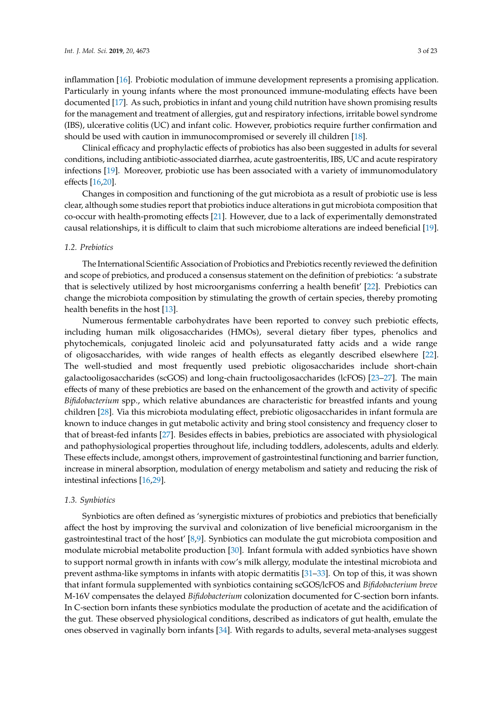inflammation [\[16\]](#page-17-11). Probiotic modulation of immune development represents a promising application. Particularly in young infants where the most pronounced immune-modulating effects have been documented [\[17\]](#page-17-12). As such, probiotics in infant and young child nutrition have shown promising results for the management and treatment of allergies, gut and respiratory infections, irritable bowel syndrome (IBS), ulcerative colitis (UC) and infant colic. However, probiotics require further confirmation and should be used with caution in immunocompromised or severely ill children [\[18\]](#page-17-13).

Clinical efficacy and prophylactic effects of probiotics has also been suggested in adults for several conditions, including antibiotic-associated diarrhea, acute gastroenteritis, IBS, UC and acute respiratory infections [\[19\]](#page-17-14). Moreover, probiotic use has been associated with a variety of immunomodulatory effects [\[16](#page-17-11)[,20\]](#page-17-15).

Changes in composition and functioning of the gut microbiota as a result of probiotic use is less clear, although some studies report that probiotics induce alterations in gut microbiota composition that co-occur with health-promoting effects [\[21\]](#page-17-16). However, due to a lack of experimentally demonstrated causal relationships, it is difficult to claim that such microbiome alterations are indeed beneficial [\[19\]](#page-17-14).

## *1.2. Prebiotics*

The International Scientific Association of Probiotics and Prebiotics recently reviewed the definition and scope of prebiotics, and produced a consensus statement on the definition of prebiotics: 'a substrate that is selectively utilized by host microorganisms conferring a health benefit' [\[22\]](#page-17-17). Prebiotics can change the microbiota composition by stimulating the growth of certain species, thereby promoting health benefits in the host [\[13\]](#page-17-18).

Numerous fermentable carbohydrates have been reported to convey such prebiotic effects, including human milk oligosaccharides (HMOs), several dietary fiber types, phenolics and phytochemicals, conjugated linoleic acid and polyunsaturated fatty acids and a wide range of oligosaccharides, with wide ranges of health effects as elegantly described elsewhere [\[22\]](#page-17-17). The well-studied and most frequently used prebiotic oligosaccharides include short-chain galactooligosaccharides (scGOS) and long-chain fructooligosaccharides (lcFOS) [\[23](#page-17-19)[–27\]](#page-18-0). The main effects of many of these prebiotics are based on the enhancement of the growth and activity of specific *Bifidobacterium* spp., which relative abundances are characteristic for breastfed infants and young children [\[28\]](#page-18-1). Via this microbiota modulating effect, prebiotic oligosaccharides in infant formula are known to induce changes in gut metabolic activity and bring stool consistency and frequency closer to that of breast-fed infants [\[27\]](#page-18-0). Besides effects in babies, prebiotics are associated with physiological and pathophysiological properties throughout life, including toddlers, adolescents, adults and elderly. These effects include, amongst others, improvement of gastrointestinal functioning and barrier function, increase in mineral absorption, modulation of energy metabolism and satiety and reducing the risk of intestinal infections [\[16](#page-17-11)[,29\]](#page-18-2).

#### *1.3. Synbiotics*

Synbiotics are often defined as 'synergistic mixtures of probiotics and prebiotics that beneficially affect the host by improving the survival and colonization of live beneficial microorganism in the gastrointestinal tract of the host' [\[8](#page-17-4)[,9\]](#page-17-5). Synbiotics can modulate the gut microbiota composition and modulate microbial metabolite production [\[30\]](#page-18-3). Infant formula with added synbiotics have shown to support normal growth in infants with cow's milk allergy, modulate the intestinal microbiota and prevent asthma-like symptoms in infants with atopic dermatitis [\[31](#page-18-4)[–33\]](#page-18-5). On top of this, it was shown that infant formula supplemented with synbiotics containing scGOS/lcFOS and *Bifidobacterium breve* M-16V compensates the delayed *Bifidobacterium* colonization documented for C-section born infants. In C-section born infants these synbiotics modulate the production of acetate and the acidification of the gut. These observed physiological conditions, described as indicators of gut health, emulate the ones observed in vaginally born infants [\[34\]](#page-18-6). With regards to adults, several meta-analyses suggest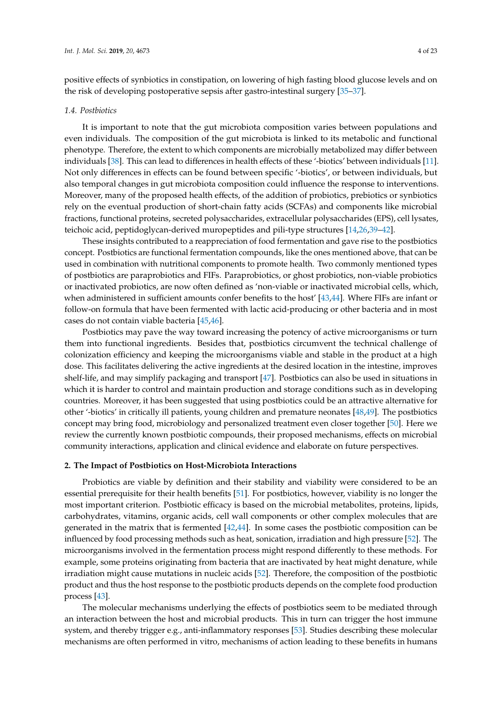positive effects of synbiotics in constipation, on lowering of high fasting blood glucose levels and on the risk of developing postoperative sepsis after gastro-intestinal surgery [\[35](#page-18-7)[–37\]](#page-18-8).

#### *1.4. Postbiotics*

It is important to note that the gut microbiota composition varies between populations and even individuals. The composition of the gut microbiota is linked to its metabolic and functional phenotype. Therefore, the extent to which components are microbially metabolized may differ between individuals [\[38\]](#page-18-9). This can lead to differences in health effects of these '-biotics' between individuals [\[11\]](#page-17-7). Not only differences in effects can be found between specific '-biotics', or between individuals, but also temporal changes in gut microbiota composition could influence the response to interventions. Moreover, many of the proposed health effects, of the addition of probiotics, prebiotics or synbiotics rely on the eventual production of short-chain fatty acids (SCFAs) and components like microbial fractions, functional proteins, secreted polysaccharides, extracellular polysaccharides (EPS), cell lysates, teichoic acid, peptidoglycan-derived muropeptides and pili-type structures [\[14](#page-17-8)[,26,](#page-18-10)[39](#page-18-11)[–42\]](#page-18-12).

These insights contributed to a reappreciation of food fermentation and gave rise to the postbiotics concept. Postbiotics are functional fermentation compounds, like the ones mentioned above, that can be used in combination with nutritional components to promote health. Two commonly mentioned types of postbiotics are paraprobiotics and FIFs. Paraprobiotics, or ghost probiotics, non-viable probiotics or inactivated probiotics, are now often defined as 'non-viable or inactivated microbial cells, which, when administered in sufficient amounts confer benefits to the host' [\[43,](#page-18-13)[44\]](#page-18-14). Where FIFs are infant or follow-on formula that have been fermented with lactic acid-producing or other bacteria and in most cases do not contain viable bacteria [\[45](#page-18-15)[,46\]](#page-18-16).

Postbiotics may pave the way toward increasing the potency of active microorganisms or turn them into functional ingredients. Besides that, postbiotics circumvent the technical challenge of colonization efficiency and keeping the microorganisms viable and stable in the product at a high dose. This facilitates delivering the active ingredients at the desired location in the intestine, improves shelf-life, and may simplify packaging and transport [\[47\]](#page-19-0). Postbiotics can also be used in situations in which it is harder to control and maintain production and storage conditions such as in developing countries. Moreover, it has been suggested that using postbiotics could be an attractive alternative for other '-biotics' in critically ill patients, young children and premature neonates [\[48,](#page-19-1)[49\]](#page-19-2). The postbiotics concept may bring food, microbiology and personalized treatment even closer together [\[50\]](#page-19-3). Here we review the currently known postbiotic compounds, their proposed mechanisms, effects on microbial community interactions, application and clinical evidence and elaborate on future perspectives.

#### **2. The Impact of Postbiotics on Host-Microbiota Interactions**

Probiotics are viable by definition and their stability and viability were considered to be an essential prerequisite for their health benefits [\[51\]](#page-19-4). For postbiotics, however, viability is no longer the most important criterion. Postbiotic efficacy is based on the microbial metabolites, proteins, lipids, carbohydrates, vitamins, organic acids, cell wall components or other complex molecules that are generated in the matrix that is fermented [\[42,](#page-18-12)[44\]](#page-18-14). In some cases the postbiotic composition can be influenced by food processing methods such as heat, sonication, irradiation and high pressure [\[52\]](#page-19-5). The microorganisms involved in the fermentation process might respond differently to these methods. For example, some proteins originating from bacteria that are inactivated by heat might denature, while irradiation might cause mutations in nucleic acids [\[52\]](#page-19-5). Therefore, the composition of the postbiotic product and thus the host response to the postbiotic products depends on the complete food production process [\[43\]](#page-18-13).

The molecular mechanisms underlying the effects of postbiotics seem to be mediated through an interaction between the host and microbial products. This in turn can trigger the host immune system, and thereby trigger e.g., anti-inflammatory responses [\[53\]](#page-19-6). Studies describing these molecular mechanisms are often performed in vitro, mechanisms of action leading to these benefits in humans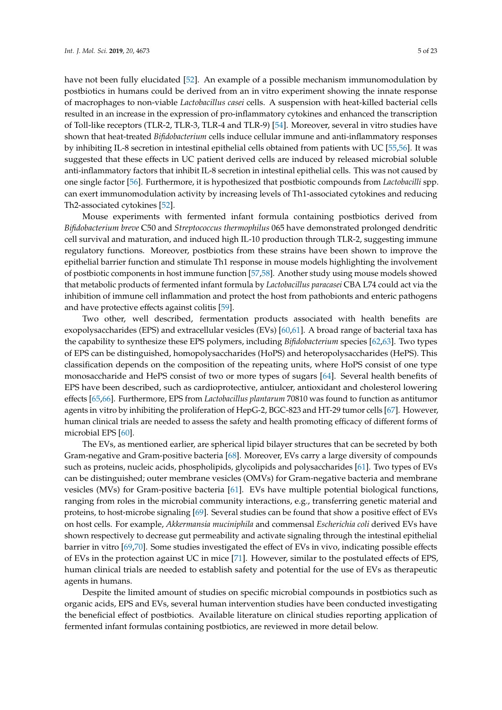have not been fully elucidated [\[52\]](#page-19-5). An example of a possible mechanism immunomodulation by postbiotics in humans could be derived from an in vitro experiment showing the innate response of macrophages to non-viable *Lactobacillus casei* cells. A suspension with heat-killed bacterial cells resulted in an increase in the expression of pro-inflammatory cytokines and enhanced the transcription of Toll-like receptors (TLR-2, TLR-3, TLR-4 and TLR-9) [\[54\]](#page-19-7). Moreover, several in vitro studies have shown that heat-treated *Bifidobacterium* cells induce cellular immune and anti-inflammatory responses by inhibiting IL-8 secretion in intestinal epithelial cells obtained from patients with UC [\[55,](#page-19-8)[56\]](#page-19-9). It was suggested that these effects in UC patient derived cells are induced by released microbial soluble anti-inflammatory factors that inhibit IL-8 secretion in intestinal epithelial cells. This was not caused by one single factor [\[56\]](#page-19-9). Furthermore, it is hypothesized that postbiotic compounds from *Lactobacilli* spp. can exert immunomodulation activity by increasing levels of Th1-associated cytokines and reducing Th2-associated cytokines [\[52\]](#page-19-5).

Mouse experiments with fermented infant formula containing postbiotics derived from *Bifidobacterium breve* C50 and *Streptococcus thermophilus* 065 have demonstrated prolonged dendritic cell survival and maturation, and induced high IL-10 production through TLR-2, suggesting immune regulatory functions. Moreover, postbiotics from these strains have been shown to improve the epithelial barrier function and stimulate Th1 response in mouse models highlighting the involvement of postbiotic components in host immune function [\[57](#page-19-10)[,58\]](#page-19-11). Another study using mouse models showed that metabolic products of fermented infant formula by *Lactobacillus paracasei* CBA L74 could act via the inhibition of immune cell inflammation and protect the host from pathobionts and enteric pathogens and have protective effects against colitis [\[59\]](#page-19-12).

Two other, well described, fermentation products associated with health benefits are exopolysaccharides (EPS) and extracellular vesicles (EVs) [\[60](#page-19-13)[,61\]](#page-19-14). A broad range of bacterial taxa has the capability to synthesize these EPS polymers, including *Bifidobacterium* species [\[62](#page-19-15)[,63\]](#page-19-16). Two types of EPS can be distinguished, homopolysaccharides (HoPS) and heteropolysaccharides (HePS). This classification depends on the composition of the repeating units, where HoPS consist of one type monosaccharide and HePS consist of two or more types of sugars [\[64\]](#page-19-17). Several health benefits of EPS have been described, such as cardioprotective, antiulcer, antioxidant and cholesterol lowering effects [\[65](#page-19-18)[,66\]](#page-19-19). Furthermore, EPS from *Lactobacillus plantarum* 70810 was found to function as antitumor agents in vitro by inhibiting the proliferation of HepG-2, BGC-823 and HT-29 tumor cells [\[67\]](#page-20-0). However, human clinical trials are needed to assess the safety and health promoting efficacy of different forms of microbial EPS [\[60\]](#page-19-13).

The EVs, as mentioned earlier, are spherical lipid bilayer structures that can be secreted by both Gram-negative and Gram-positive bacteria [\[68\]](#page-20-1). Moreover, EVs carry a large diversity of compounds such as proteins, nucleic acids, phospholipids, glycolipids and polysaccharides [\[61\]](#page-19-14). Two types of EVs can be distinguished; outer membrane vesicles (OMVs) for Gram-negative bacteria and membrane vesicles (MVs) for Gram-positive bacteria [\[61\]](#page-19-14). EVs have multiple potential biological functions, ranging from roles in the microbial community interactions, e.g., transferring genetic material and proteins, to host-microbe signaling [\[69\]](#page-20-2). Several studies can be found that show a positive effect of EVs on host cells. For example, *Akkermansia muciniphila* and commensal *Escherichia coli* derived EVs have shown respectively to decrease gut permeability and activate signaling through the intestinal epithelial barrier in vitro [\[69](#page-20-2)[,70\]](#page-20-3). Some studies investigated the effect of EVs in vivo, indicating possible effects of EVs in the protection against UC in mice [\[71\]](#page-20-4). However, similar to the postulated effects of EPS, human clinical trials are needed to establish safety and potential for the use of EVs as therapeutic agents in humans.

Despite the limited amount of studies on specific microbial compounds in postbiotics such as organic acids, EPS and EVs, several human intervention studies have been conducted investigating the beneficial effect of postbiotics. Available literature on clinical studies reporting application of fermented infant formulas containing postbiotics, are reviewed in more detail below.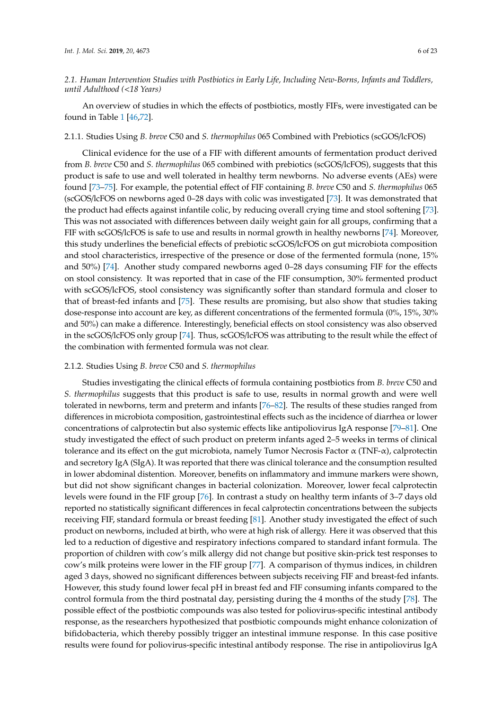# *2.1. Human Intervention Studies with Postbiotics in Early Life, Including New-Borns, Infants and Toddlers,*

*until Adulthood (*<*18 Years)*

An overview of studies in which the effects of postbiotics, mostly FIFs, were investigated can be found in Table [1](#page-10-0) [\[46](#page-18-16)[,72\]](#page-20-5).

#### 2.1.1. Studies Using *B. breve* C50 and *S. thermophilus* 065 Combined with Prebiotics (scGOS/lcFOS)

Clinical evidence for the use of a FIF with different amounts of fermentation product derived from *B. breve* C50 and *S. thermophilus* 065 combined with prebiotics (scGOS/lcFOS), suggests that this product is safe to use and well tolerated in healthy term newborns. No adverse events (AEs) were found [\[73–](#page-20-6)[75\]](#page-20-7). For example, the potential effect of FIF containing *B. breve* C50 and *S. thermophilus* 065 (scGOS/lcFOS on newborns aged 0–28 days with colic was investigated [\[73\]](#page-20-6). It was demonstrated that the product had effects against infantile colic, by reducing overall crying time and stool softening [\[73\]](#page-20-6). This was not associated with differences between daily weight gain for all groups, confirming that a FIF with scGOS/lcFOS is safe to use and results in normal growth in healthy newborns [\[74\]](#page-20-8). Moreover, this study underlines the beneficial effects of prebiotic scGOS/lcFOS on gut microbiota composition and stool characteristics, irrespective of the presence or dose of the fermented formula (none, 15% and 50%) [\[74\]](#page-20-8). Another study compared newborns aged 0–28 days consuming FIF for the effects on stool consistency. It was reported that in case of the FIF consumption, 30% fermented product with scGOS/lcFOS, stool consistency was significantly softer than standard formula and closer to that of breast-fed infants and [\[75\]](#page-20-7). These results are promising, but also show that studies taking dose-response into account are key, as different concentrations of the fermented formula (0%, 15%, 30% and 50%) can make a difference. Interestingly, beneficial effects on stool consistency was also observed in the scGOS/lcFOS only group [\[74\]](#page-20-8). Thus, scGOS/lcFOS was attributing to the result while the effect of the combination with fermented formula was not clear.

#### 2.1.2. Studies Using *B. breve* C50 and *S. thermophilus*

Studies investigating the clinical effects of formula containing postbiotics from *B. breve* C50 and *S. thermophilus* suggests that this product is safe to use, results in normal growth and were well tolerated in newborns, term and preterm and infants [\[76–](#page-20-9)[82\]](#page-20-10). The results of these studies ranged from differences in microbiota composition, gastrointestinal effects such as the incidence of diarrhea or lower concentrations of calprotectin but also systemic effects like antipoliovirus IgA response [\[79–](#page-20-11)[81\]](#page-20-12). One study investigated the effect of such product on preterm infants aged 2–5 weeks in terms of clinical tolerance and its effect on the gut microbiota, namely Tumor Necrosis Factor  $\alpha$  (TNF- $\alpha$ ), calprotectin and secretory IgA (SIgA). It was reported that there was clinical tolerance and the consumption resulted in lower abdominal distention. Moreover, benefits on inflammatory and immune markers were shown, but did not show significant changes in bacterial colonization. Moreover, lower fecal calprotectin levels were found in the FIF group [\[76\]](#page-20-9). In contrast a study on healthy term infants of 3–7 days old reported no statistically significant differences in fecal calprotectin concentrations between the subjects receiving FIF, standard formula or breast feeding [\[81\]](#page-20-12). Another study investigated the effect of such product on newborns, included at birth, who were at high risk of allergy. Here it was observed that this led to a reduction of digestive and respiratory infections compared to standard infant formula. The proportion of children with cow's milk allergy did not change but positive skin-prick test responses to cow's milk proteins were lower in the FIF group [\[77\]](#page-20-13). A comparison of thymus indices, in children aged 3 days, showed no significant differences between subjects receiving FIF and breast-fed infants. However, this study found lower fecal pH in breast fed and FIF consuming infants compared to the control formula from the third postnatal day, persisting during the 4 months of the study [\[78\]](#page-20-14). The possible effect of the postbiotic compounds was also tested for poliovirus-specific intestinal antibody response, as the researchers hypothesized that postbiotic compounds might enhance colonization of bifidobacteria, which thereby possibly trigger an intestinal immune response. In this case positive results were found for poliovirus-specific intestinal antibody response. The rise in antipoliovirus IgA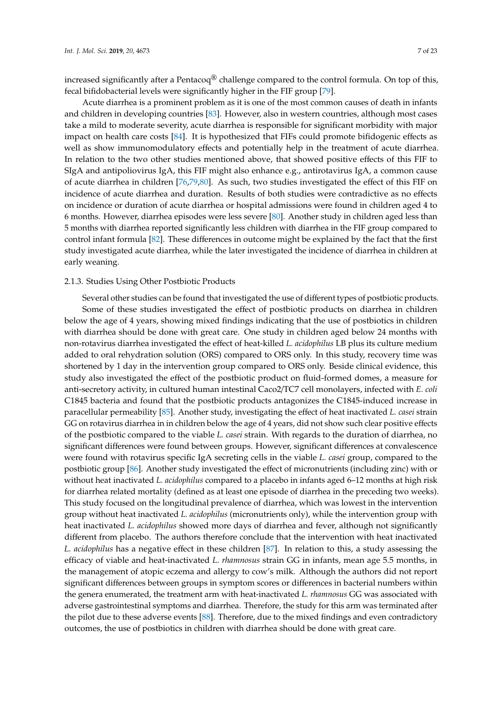increased significantly after a Pentacoq<sup>®</sup> challenge compared to the control formula. On top of this, fecal bifidobacterial levels were significantly higher in the FIF group [\[79\]](#page-20-11).

Acute diarrhea is a prominent problem as it is one of the most common causes of death in infants and children in developing countries [\[83\]](#page-20-15). However, also in western countries, although most cases take a mild to moderate severity, acute diarrhea is responsible for significant morbidity with major impact on health care costs [\[84\]](#page-21-0). It is hypothesized that FIFs could promote bifidogenic effects as well as show immunomodulatory effects and potentially help in the treatment of acute diarrhea. In relation to the two other studies mentioned above, that showed positive effects of this FIF to SIgA and antipoliovirus IgA, this FIF might also enhance e.g., antirotavirus IgA, a common cause of acute diarrhea in children [\[76,](#page-20-9)[79,](#page-20-11)[80\]](#page-20-16). As such, two studies investigated the effect of this FIF on incidence of acute diarrhea and duration. Results of both studies were contradictive as no effects on incidence or duration of acute diarrhea or hospital admissions were found in children aged 4 to 6 months. However, diarrhea episodes were less severe [\[80\]](#page-20-16). Another study in children aged less than 5 months with diarrhea reported significantly less children with diarrhea in the FIF group compared to control infant formula [\[82\]](#page-20-10). These differences in outcome might be explained by the fact that the first study investigated acute diarrhea, while the later investigated the incidence of diarrhea in children at early weaning.

### 2.1.3. Studies Using Other Postbiotic Products

Several other studies can be found that investigated the use of different types of postbiotic products. Some of these studies investigated the effect of postbiotic products on diarrhea in children below the age of 4 years, showing mixed findings indicating that the use of postbiotics in children with diarrhea should be done with great care. One study in children aged below 24 months with non-rotavirus diarrhea investigated the effect of heat-killed *L. acidophilus* LB plus its culture medium added to oral rehydration solution (ORS) compared to ORS only. In this study, recovery time was shortened by 1 day in the intervention group compared to ORS only. Beside clinical evidence, this study also investigated the effect of the postbiotic product on fluid-formed domes, a measure for anti-secretory activity, in cultured human intestinal Caco2/TC7 cell monolayers, infected with *E. coli* C1845 bacteria and found that the postbiotic products antagonizes the C1845-induced increase in paracellular permeability [\[85\]](#page-21-1). Another study, investigating the effect of heat inactivated *L. casei* strain GG on rotavirus diarrhea in in children below the age of 4 years, did not show such clear positive effects of the postbiotic compared to the viable *L. casei* strain. With regards to the duration of diarrhea, no significant differences were found between groups. However, significant differences at convalescence were found with rotavirus specific IgA secreting cells in the viable *L. casei* group, compared to the postbiotic group [\[86\]](#page-21-2). Another study investigated the effect of micronutrients (including zinc) with or without heat inactivated *L. acidophilus* compared to a placebo in infants aged 6–12 months at high risk for diarrhea related mortality (defined as at least one episode of diarrhea in the preceding two weeks). This study focused on the longitudinal prevalence of diarrhea, which was lowest in the intervention group without heat inactivated *L. acidophilus* (micronutrients only), while the intervention group with heat inactivated *L. acidophilus* showed more days of diarrhea and fever, although not significantly different from placebo. The authors therefore conclude that the intervention with heat inactivated *L. acidophilus* has a negative effect in these children [\[87\]](#page-21-3). In relation to this, a study assessing the efficacy of viable and heat-inactivated *L. rhamnosus* strain GG in infants, mean age 5.5 months, in the management of atopic eczema and allergy to cow's milk. Although the authors did not report significant differences between groups in symptom scores or differences in bacterial numbers within the genera enumerated, the treatment arm with heat-inactivated *L. rhamnosus* GG was associated with adverse gastrointestinal symptoms and diarrhea. Therefore, the study for this arm was terminated after the pilot due to these adverse events [\[88\]](#page-21-4). Therefore, due to the mixed findings and even contradictory outcomes, the use of postbiotics in children with diarrhea should be done with great care.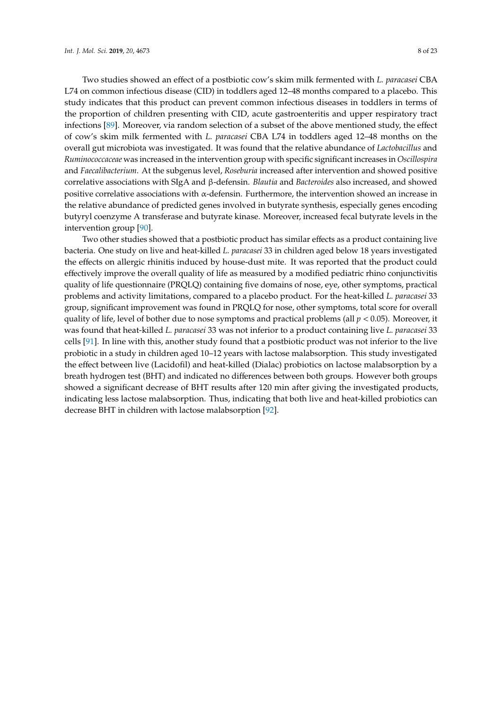Two studies showed an effect of a postbiotic cow's skim milk fermented with *L. paracasei* CBA L74 on common infectious disease (CID) in toddlers aged 12–48 months compared to a placebo. This study indicates that this product can prevent common infectious diseases in toddlers in terms of the proportion of children presenting with CID, acute gastroenteritis and upper respiratory tract infections [\[89\]](#page-21-5). Moreover, via random selection of a subset of the above mentioned study, the effect of cow's skim milk fermented with *L. paracasei* CBA L74 in toddlers aged 12–48 months on the overall gut microbiota was investigated. It was found that the relative abundance of *Lactobacillus* and *Ruminococcaceae* was increased in the intervention group with specific significant increases in *Oscillospira* and *Faecalibacterium*. At the subgenus level, *Roseburia* increased after intervention and showed positive correlative associations with SIgA and β-defensin. *Blautia* and *Bacteroides* also increased, and showed positive correlative associations with α-defensin. Furthermore, the intervention showed an increase in the relative abundance of predicted genes involved in butyrate synthesis, especially genes encoding butyryl coenzyme A transferase and butyrate kinase. Moreover, increased fecal butyrate levels in the intervention group [\[90\]](#page-21-6).

Two other studies showed that a postbiotic product has similar effects as a product containing live bacteria. One study on live and heat-killed *L. paracasei* 33 in children aged below 18 years investigated the effects on allergic rhinitis induced by house-dust mite. It was reported that the product could effectively improve the overall quality of life as measured by a modified pediatric rhino conjunctivitis quality of life questionnaire (PRQLQ) containing five domains of nose, eye, other symptoms, practical problems and activity limitations, compared to a placebo product. For the heat-killed *L. paracasei* 33 group, significant improvement was found in PRQLQ for nose, other symptoms, total score for overall quality of life, level of bother due to nose symptoms and practical problems (all *p* < 0.05). Moreover, it was found that heat-killed *L. paracasei* 33 was not inferior to a product containing live *L. paracasei* 33 cells [\[91\]](#page-21-7). In line with this, another study found that a postbiotic product was not inferior to the live probiotic in a study in children aged 10–12 years with lactose malabsorption. This study investigated the effect between live (Lacidofil) and heat-killed (Dialac) probiotics on lactose malabsorption by a breath hydrogen test (BHT) and indicated no differences between both groups. However both groups showed a significant decrease of BHT results after 120 min after giving the investigated products, indicating less lactose malabsorption. Thus, indicating that both live and heat-killed probiotics can decrease BHT in children with lactose malabsorption [\[92\]](#page-21-8).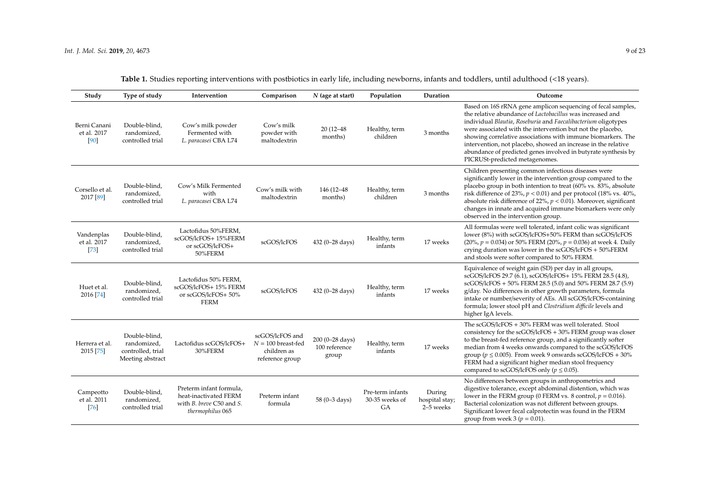| Study                               | Type of study                                                         | Intervention                                                                                                   | Comparison                                                                | $N$ (age at start)                        | Population                               | Duration                              | Outcome                                                                                                                                                                                                                                                                                                                                                                                                                                                                                              |
|-------------------------------------|-----------------------------------------------------------------------|----------------------------------------------------------------------------------------------------------------|---------------------------------------------------------------------------|-------------------------------------------|------------------------------------------|---------------------------------------|------------------------------------------------------------------------------------------------------------------------------------------------------------------------------------------------------------------------------------------------------------------------------------------------------------------------------------------------------------------------------------------------------------------------------------------------------------------------------------------------------|
| Berni Canani<br>et al. 2017<br>[90] | Double-blind,<br>randomized,<br>controlled trial                      | Cow's milk powder<br>Fermented with<br>L. paracasei CBA L74                                                    | Cow's milk<br>powder with<br>maltodextrin                                 | $20(12 - 48)$<br>months)                  | Healthy, term<br>children                | 3 months                              | Based on 16S rRNA gene amplicon sequencing of fecal samples,<br>the relative abundance of <i>Lactobacillus</i> was increased and<br>individual Blautia, Roseburia and Faecalibacterium oligotypes<br>were associated with the intervention but not the placebo,<br>showing correlative associations with immune biomarkers. The<br>intervention, not placebo, showed an increase in the relative<br>abundance of predicted genes involved in butyrate synthesis by<br>PICRUSt-predicted metagenomes. |
| Corsello et al.<br>2017 [89]        | Double-blind,<br>randomized,<br>controlled trial                      | Cow's Milk Fermented<br>with<br>L. paracasei CBA L74                                                           | Cow's milk with<br>maltodextrin                                           | 146 (12-48)<br>months)                    | Healthy, term<br>children                | 3 months                              | Children presenting common infectious diseases were<br>significantly lower in the intervention group compared to the<br>placebo group in both intention to treat (60% vs. 83%, absolute<br>risk difference of 23%, $p < 0.01$ ) and per protocol (18% vs. 40%,<br>absolute risk difference of 22%, $p < 0.01$ ). Moreover, significant<br>changes in innate and acquired immune biomarkers were only<br>observed in the intervention group.                                                          |
| Vandenplas<br>et al. 2017<br>$[73]$ | Double-blind,<br>randomized,<br>controlled trial                      | Lactofidus 50%FERM,<br>scGOS/lcFOS+ 15%FERM<br>or scGOS/lcFOS+<br>50%FERM                                      | scGOS/lcFOS                                                               | 432 (0-28 days)                           | Healthy, term<br>infants                 | 17 weeks                              | All formulas were well tolerated, infant colic was significant<br>lower (8%) with scGOS/lcFOS+50% FERM than scGOS/lcFOS<br>$(20\%, p = 0.034)$ or 50% FERM $(20\%, p = 0.036)$ at week 4. Daily<br>crying duration was lower in the scGOS/lcFOS + 50%FERM<br>and stools were softer compared to 50% FERM.                                                                                                                                                                                            |
| Huet et al.<br>2016 [74]            | Double-blind,<br>randomized,<br>controlled trial                      | Lactofidus 50% FERM,<br>scGOS/lcFOS+ 15% FERM<br>or scGOS/lcFOS+ 50%<br><b>FERM</b>                            | scGOS/lcFOS                                                               | 432 (0-28 days)                           | Healthy, term<br>infants                 | 17 weeks                              | Equivalence of weight gain (SD) per day in all groups,<br>scGOS/lcFOS 29.7 (6.1), scGOS/lcFOS+ 15% FERM 28.5 (4.8),<br>scGOS/lcFOS + 50% FERM 28.5 (5.0) and 50% FERM 28.7 (5.9)<br>g/day. No differences in other growth parameters, formula<br>intake or number/severity of AEs. All scGOS/lcFOS-containing<br>formula; lower stool pH and Clostridium difficile levels and<br>higher IgA levels.                                                                                                  |
| Herrera et al.<br>$2015$ [75]       | Double-blind,<br>randomized,<br>controlled, trial<br>Meeting abstract | Lactofidus scGOS/lcFOS+<br>30%FERM                                                                             | scGOS/lcFOS and<br>$N = 100$ breast-fed<br>children as<br>reference group | 200 (0-28 days)<br>100 reference<br>group | Healthy, term<br>infants                 | 17 weeks                              | The scGOS/lcFOS + 30% FERM was well tolerated. Stool<br>consistency for the $scGOS/lcFOS + 30\%$ FERM group was closer<br>to the breast-fed reference group, and a significantly softer<br>median from 4 weeks onwards compared to the scGOS/lcFOS<br>group ( $p \le 0.005$ ). From week 9 onwards scGOS/lcFOS + 30%<br>FERM had a significant higher median stool frequency<br>compared to scGOS/lcFOS only ( $p \le 0.05$ ).                                                                       |
| Campeotto<br>et al. 2011<br>$[76]$  | Double-blind,<br>randomized,<br>controlled trial                      | Preterm infant formula,<br>heat-inactivated FERM<br>with <i>B. breve</i> C50 and <i>S.</i><br>thermophilus 065 | Preterm infant<br>formula                                                 | 58 (0-3 days)                             | Pre-term infants<br>30-35 weeks of<br>GA | During<br>hospital stay;<br>2-5 weeks | No differences between groups in anthropometrics and<br>digestive tolerance, except abdominal distention, which was<br>lower in the FERM group (0 FERM vs. 8 control, $p = 0.016$ ).<br>Bacterial colonization was not different between groups.<br>Significant lower fecal calprotectin was found in the FERM<br>group from week $3 (p = 0.01)$ .                                                                                                                                                   |

Table 1. Studies reporting interventions with postbiotics in early life, including newborns, infants and toddlers, until adulthood (<18 years).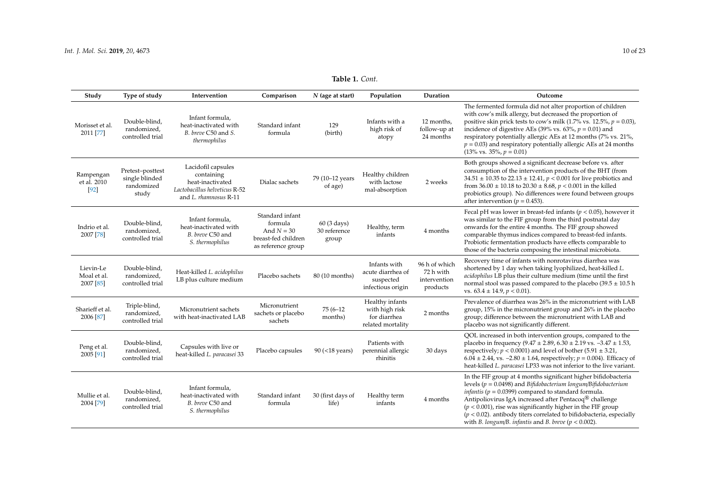| Table 1. Cont. |  |
|----------------|--|
|----------------|--|

| Study                                 | Type of study                                             | Intervention                                                                                                   | Comparison                                                                              | $N$ (age at start)                   | Population                                                             | Duration                                               | Outcome                                                                                                                                                                                                                                                                                                                                                                                                                                                                                                        |
|---------------------------------------|-----------------------------------------------------------|----------------------------------------------------------------------------------------------------------------|-----------------------------------------------------------------------------------------|--------------------------------------|------------------------------------------------------------------------|--------------------------------------------------------|----------------------------------------------------------------------------------------------------------------------------------------------------------------------------------------------------------------------------------------------------------------------------------------------------------------------------------------------------------------------------------------------------------------------------------------------------------------------------------------------------------------|
| Morisset et al.<br>2011 [77]          | Double-blind,<br>randomized,<br>controlled trial          | Infant formula,<br>heat-inactivated with<br>B. breve C50 and S.<br>thermophilus                                | Standard infant<br>formula                                                              | 129<br>(birth)                       | Infants with a<br>high risk of<br>atopy                                | 12 months,<br>follow-up at<br>24 months                | The fermented formula did not alter proportion of children<br>with cow's milk allergy, but decreased the proportion of<br>positive skin prick tests to cow's milk (1.7% vs. 12.5%, $p = 0.03$ ),<br>incidence of digestive AEs (39% vs. 63%, $p = 0.01$ ) and<br>respiratory potentially allergic AEs at 12 months (7% vs. 21%,<br>$p = 0.03$ ) and respiratory potentially allergic AEs at 24 months<br>$(13\% \text{ vs. } 35\%, p = 0.01)$                                                                  |
| Rampengan<br>et al. 2010<br>$[92]$    | Pretest-posttest<br>single blinded<br>randomized<br>study | Lacidofil capsules<br>containing<br>heat-inactivated<br>Lactobacillus helveticus R-52<br>and L. rhamnosus R-11 | Dialac sachets                                                                          | 79 (10-12 years<br>of age)           | Healthy children<br>with lactose<br>mal-absorption                     | 2 weeks                                                | Both groups showed a significant decrease before vs. after<br>consumption of the intervention products of the BHT (from<br>$34.51 \pm 10.35$ to $22.13 \pm 12.41$ , $p < 0.001$ for live probiotics and<br>from $36.00 \pm 10.18$ to $20.30 \pm 8.68$ , $p < 0.001$ in the killed<br>probiotics group). No differences were found between groups<br>after intervention ( $p = 0.453$ ).                                                                                                                        |
| Indrio et al.<br>2007 [78]            | Double-blind,<br>randomized,<br>controlled trial          | Infant formula,<br>heat-inactivated with<br>B. breve C50 and<br>S. thermophilus                                | Standard infant<br>formula<br>And $N = 30$<br>breast-fed children<br>as reference group | 60 (3 days)<br>30 reference<br>group | Healthy, term<br>infants                                               | 4 months                                               | Fecal pH was lower in breast-fed infants ( $p < 0.05$ ), however it<br>was similar to the FIF group from the third postnatal day<br>onwards for the entire 4 months. The FIF group showed<br>comparable thymus indices compared to breast-fed infants.<br>Probiotic fermentation products have effects comparable to<br>those of the bacteria composing the intestinal microbiota.                                                                                                                             |
| Lievin-Le<br>Moal et al.<br>2007 [85] | Double-blind,<br>randomized,<br>controlled trial          | Heat-killed L. acidophilus<br>LB plus culture medium                                                           | Placebo sachets                                                                         | 80 (10 months)                       | Infants with<br>acute diarrhea of<br>suspected<br>infectious origin    | 96 h of which<br>72 h with<br>intervention<br>products | Recovery time of infants with nonrotavirus diarrhea was<br>shortened by 1 day when taking lyophilized, heat-killed L.<br>acidophilus LB plus their culture medium (time until the first<br>normal stool was passed compared to the placebo $(39.5 \pm 10.5)$ h<br>vs. $63.4 \pm 14.9$ , $p < 0.01$ ).                                                                                                                                                                                                          |
| Sharieff et al.<br>2006 [87]          | Triple-blind,<br>randomized,<br>controlled trial          | Micronutrient sachets<br>with heat-inactivated LAB                                                             | Micronutrient<br>sachets or placebo<br>sachets                                          | $75(6-12)$<br>months)                | Healthy infants<br>with high risk<br>for diarrhea<br>related mortality | 2 months                                               | Prevalence of diarrhea was 26% in the micronutrient with LAB<br>group, 15% in the micronutrient group and 26% in the placebo<br>group; difference between the micronutrient with LAB and<br>placebo was not significantly different.                                                                                                                                                                                                                                                                           |
| Peng et al.<br>2005 [91]              | Double-blind,<br>randomized,<br>controlled trial          | Capsules with live or<br>heat-killed L. paracasei 33                                                           | Placebo capsules                                                                        | $90$ (<18 years)                     | Patients with<br>perennial allergic<br>rhinitis                        | 30 days                                                | QOL increased in both intervention groups, compared to the<br>placebo in frequency $(9.47 \pm 2.89, 6.30 \pm 2.19 \text{ vs. } -3.47 \pm 1.53,$<br>respectively; $p < 0.0001$ ) and level of bother (5.91 $\pm$ 3.21,<br>6.04 ± 2.44, vs. $-2.80 \pm 1.64$ , respectively; $p = 0.004$ ). Efficacy of<br>heat-killed L. paracasei LP33 was not inferior to the live variant.                                                                                                                                   |
| Mullie et al.<br>2004 [79]            | Double-blind,<br>randomized,<br>controlled trial          | Infant formula,<br>heat-inactivated with<br>B. breve C50 and<br>S. thermophilus                                | Standard infant<br>formula                                                              | 30 (first days of<br>life)           | Healthy term<br>infants                                                | 4 months                                               | In the FIF group at 4 months significant higher bifidobacteria<br>levels ( $p = 0.0498$ ) and Bifidobacterium longum/Bifidobacterium<br><i>infantis</i> ( $p = 0.0399$ ) compared to standard formula.<br>Antipoliovirus IgA increased after Pentacoq <sup>®</sup> challenge<br>$(p < 0.001)$ , rise was significantly higher in the FIF group<br>$(p < 0.02)$ . antibody titers correlated to bifidobacteria, especially<br>with <i>B</i> . longum/ <i>B</i> . infantis and <i>B</i> . breve ( $p < 0.002$ ). |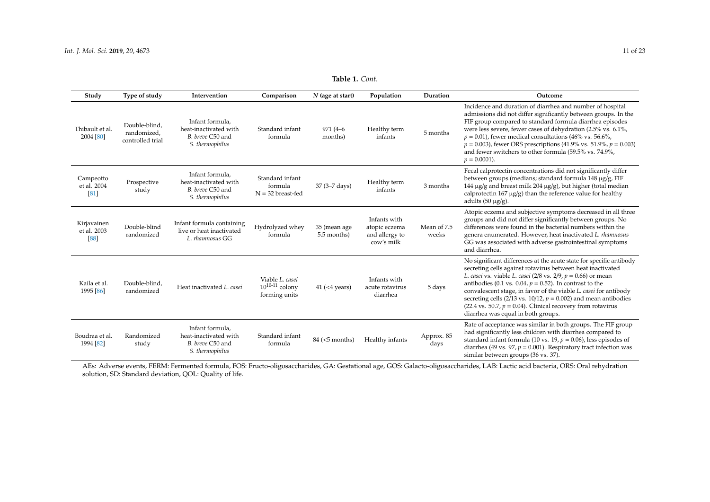| Study                              | Type of study                                    | Intervention                                                                    | Comparison                                              | $N$ (age at start)          | Population                                                    | Duration             | Outcome                                                                                                                                                                                                                                                                                                                                                                                                                                                                                                                 |
|------------------------------------|--------------------------------------------------|---------------------------------------------------------------------------------|---------------------------------------------------------|-----------------------------|---------------------------------------------------------------|----------------------|-------------------------------------------------------------------------------------------------------------------------------------------------------------------------------------------------------------------------------------------------------------------------------------------------------------------------------------------------------------------------------------------------------------------------------------------------------------------------------------------------------------------------|
| Thibault et al.<br>2004 [80]       | Double-blind,<br>randomized,<br>controlled trial | Infant formula,<br>heat-inactivated with<br>B. breve C50 and<br>S. thermophilus | Standard infant<br>formula                              | $971(4 - 6)$<br>months)     | Healthy term<br>infants                                       | 5 months             | Incidence and duration of diarrhea and number of hospital<br>admissions did not differ significantly between groups. In the<br>FIF group compared to standard formula diarrhea episodes<br>were less severe, fewer cases of dehydration (2.5% vs. 6.1%,<br>$p = 0.01$ , fewer medical consultations (46% vs. 56.6%,<br>$p = 0.003$ , fewer ORS prescriptions (41.9% vs. 51.9%, $p = 0.003$ )<br>and fewer switchers to other formula (59.5% vs. 74.9%,<br>$p = 0.0001$ ).                                               |
| Campeotto<br>et al. 2004<br>[81]   | Prospective<br>study                             | Infant formula,<br>heat-inactivated with<br>B. breve C50 and<br>S. thermophilus | Standard infant<br>formula<br>$N = 32$ breast-fed       | 37 (3–7 days)               | Healthy term<br>infants                                       | 3 months             | Fecal calprotectin concentrations did not significantly differ<br>between groups (medians; standard formula 148 μg/g, FIF<br>144 µg/g and breast milk 204 µg/g), but higher (total median<br>calprotectin $167 \mu g/g$ ) than the reference value for healthy<br>adults $(50 \ \mu g/g)$ .                                                                                                                                                                                                                             |
| Kirjavainen<br>et al. 2003<br>[88] | Double-blind<br>randomized                       | Infant formula containing<br>live or heat inactivated<br>L. rhamnosus GG        | Hydrolyzed whey<br>formula                              | 35 (mean age<br>5.5 months) | Infants with<br>atopic eczema<br>and allergy to<br>cow's milk | Mean of 7.5<br>weeks | Atopic eczema and subjective symptoms decreased in all three<br>groups and did not differ significantly between groups. No<br>differences were found in the bacterial numbers within the<br>genera enumerated. However, heat inactivated L. rhamnosus<br>GG was associated with adverse gastrointestinal symptoms<br>and diarrhea.                                                                                                                                                                                      |
| Kaila et al.<br>1995 [86]          | Double-blind,<br>randomized                      | Heat inactivated L. casei                                                       | Viable L. casei<br>$10^{10-11}$ colony<br>forming units | $41$ (<4 years)             | Infants with<br>acute rotavirus<br>diarrhea                   | 5 days               | No significant differences at the acute state for specific antibody<br>secreting cells against rotavirus between heat inactivated<br>L. casei vs. viable L. casei (2/8 vs. $2/9$ , $p = 0.66$ ) or mean<br>antibodies (0.1 vs. 0.04, $p = 0.52$ ). In contrast to the<br>convalescent stage, in favor of the viable L. casei for antibody<br>secreting cells (2/13 vs. 10/12, $p = 0.002$ ) and mean antibodies<br>(22.4 vs. 50.7, $p = 0.04$ ). Clinical recovery from rotavirus<br>diarrhea was equal in both groups. |
| Boudraa et al.<br>1994 [82]        | Randomized<br>study                              | Infant formula,<br>heat-inactivated with<br>B. breve C50 and<br>S. thermophilus | Standard infant<br>formula                              | $84$ ( $<$ 5 months)        | Healthy infants                                               | Approx. 85<br>days   | Rate of acceptance was similar in both groups. The FIF group<br>had significantly less children with diarrhea compared to<br>standard infant formula (10 vs. 19, $p = 0.06$ ), less episodes of<br>diarrhea (49 vs. 97, $p = 0.001$ ). Respiratory tract infection was<br>similar between groups (36 vs. 37).                                                                                                                                                                                                           |

## **Table 1.** *Cont.*

<span id="page-10-0"></span>AEs: Adverse events, FERM: Fermented formula, FOS: Fructo-oligosaccharides, GA: Gestational age, GOS: Galacto-oligosaccharides, LAB: Lactic acid bacteria, ORS: Oral rehydration solution, SD: Standard deviation, QOL: Quality of life.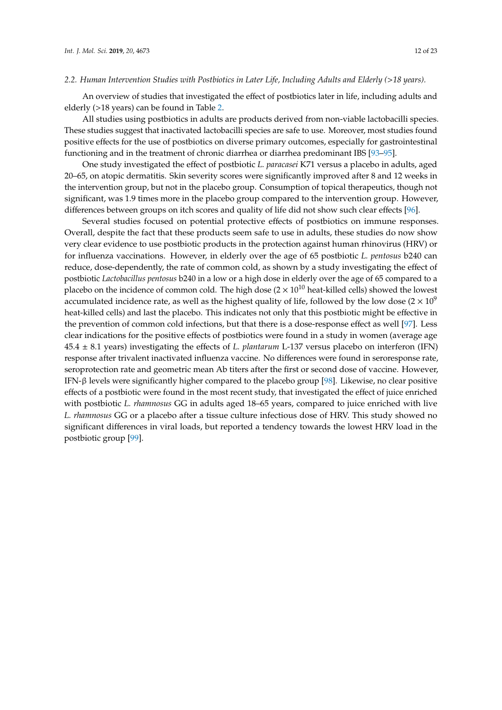#### *2.2. Human Intervention Studies with Postbiotics in Later Life, Including Adults and Elderly (*>*18 years).*

An overview of studies that investigated the effect of postbiotics later in life, including adults and elderly (>18 years) can be found in Table [2.](#page-12-0)

All studies using postbiotics in adults are products derived from non-viable lactobacilli species. These studies suggest that inactivated lactobacilli species are safe to use. Moreover, most studies found positive effects for the use of postbiotics on diverse primary outcomes, especially for gastrointestinal functioning and in the treatment of chronic diarrhea or diarrhea predominant IBS [\[93](#page-21-17)[–95\]](#page-21-18).

One study investigated the effect of postbiotic *L. paracasei* K71 versus a placebo in adults, aged 20–65, on atopic dermatitis. Skin severity scores were significantly improved after 8 and 12 weeks in the intervention group, but not in the placebo group. Consumption of topical therapeutics, though not significant, was 1.9 times more in the placebo group compared to the intervention group. However, differences between groups on itch scores and quality of life did not show such clear effects [\[96\]](#page-21-19).

Several studies focused on potential protective effects of postbiotics on immune responses. Overall, despite the fact that these products seem safe to use in adults, these studies do now show very clear evidence to use postbiotic products in the protection against human rhinovirus (HRV) or for influenza vaccinations. However, in elderly over the age of 65 postbiotic *L. pentosus* b240 can reduce, dose-dependently, the rate of common cold, as shown by a study investigating the effect of postbiotic *Lactobacillus pentosus* b240 in a low or a high dose in elderly over the age of 65 compared to a placebo on the incidence of common cold. The high dose  $(2 \times 10^{10}$  heat-killed cells) showed the lowest accumulated incidence rate, as well as the highest quality of life, followed by the low dose ( $2 \times 10^9$ ) heat-killed cells) and last the placebo. This indicates not only that this postbiotic might be effective in the prevention of common cold infections, but that there is a dose-response effect as well [\[97\]](#page-21-20). Less clear indications for the positive effects of postbiotics were found in a study in women (average age 45.4 ± 8.1 years) investigating the effects of *L. plantarum* L-137 versus placebo on interferon (IFN) response after trivalent inactivated influenza vaccine. No differences were found in seroresponse rate, seroprotection rate and geometric mean Ab titers after the first or second dose of vaccine. However, IFN-β levels were significantly higher compared to the placebo group [\[98\]](#page-21-21). Likewise, no clear positive effects of a postbiotic were found in the most recent study, that investigated the effect of juice enriched with postbiotic *L. rhamnosus* GG in adults aged 18–65 years, compared to juice enriched with live *L. rhamnosus* GG or a placebo after a tissue culture infectious dose of HRV. This study showed no significant differences in viral loads, but reported a tendency towards the lowest HRV load in the postbiotic group [\[99\]](#page-21-22).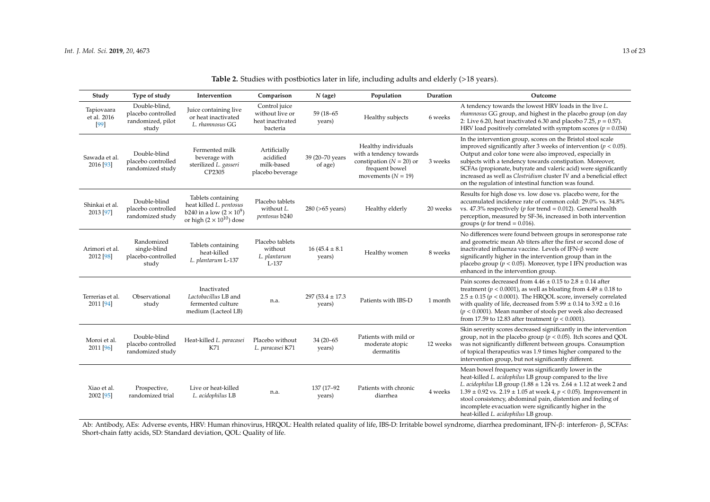| Study                             | Type of study                                                                                       | Intervention                                                                                                          | Comparison                                                       | $N$ (age)                      | Population                                                                                                                 | Duration | Outcome                                                                                                                                                                                                                                                                                                                                                                                                                                                                                                                                                                                                                                                                                                                                                        |
|-----------------------------------|-----------------------------------------------------------------------------------------------------|-----------------------------------------------------------------------------------------------------------------------|------------------------------------------------------------------|--------------------------------|----------------------------------------------------------------------------------------------------------------------------|----------|----------------------------------------------------------------------------------------------------------------------------------------------------------------------------------------------------------------------------------------------------------------------------------------------------------------------------------------------------------------------------------------------------------------------------------------------------------------------------------------------------------------------------------------------------------------------------------------------------------------------------------------------------------------------------------------------------------------------------------------------------------------|
| Tapiovaara<br>et al. 2016<br>[99] | Double-blind,<br>placebo controlled<br>randomized, pilot<br>study                                   | Juice containing live<br>or heat inactivated<br>L. rhamnosus GG                                                       | Control juice<br>without live or<br>heat inactivated<br>bacteria | 59 (18-65<br>years)            | Healthy subjects                                                                                                           | 6 weeks  | A tendency towards the lowest HRV loads in the live L.<br>rhamnosus GG group, and highest in the placebo group (on day<br>2: Live 6.20, heat inactivated 6.30 and placebo 7.25, $p = 0.57$ ).<br>HRV load positively correlated with symptom scores ( $p = 0.034$ )                                                                                                                                                                                                                                                                                                                                                                                                                                                                                            |
| Sawada et al.<br>2016 [93]        | Double-blind<br>placebo controlled<br>randomized study                                              | Fermented milk<br>beverage with<br>sterilized L. gasseri<br>CP2305                                                    | Artificially<br>acidified<br>milk-based<br>placebo beverage      | 39 (20-70 years<br>of age)     | Healthy individuals<br>with a tendency towards<br>constipation ( $N = 20$ ) or<br>frequent bowel<br>movements ( $N = 19$ ) | 3 weeks  | In the intervention group, scores on the Bristol stool scale<br>improved significantly after 3 weeks of intervention ( $p < 0.05$ ).<br>Output and color tone were also improved, especially in<br>subjects with a tendency towards constipation. Moreover,<br>SCFAs (propionate, butyrate and valeric acid) were significantly<br>increased as well as <i>Clostridium</i> cluster IV and a beneficial effect<br>on the regulation of intestinal function was found.                                                                                                                                                                                                                                                                                           |
| Shinkai et al.<br>2013 [97]       | Double-blind<br>placebo controlled<br>randomized study                                              | Tablets containing<br>heat killed L. pentosus<br>b240 in a low $(2 \times 10^9)$<br>or high $(2 \times 10^{10})$ dose | Placebo tablets<br>without L.<br>pentosus b240                   | $280 (>65$ years)              | Healthy elderly                                                                                                            | 20 weeks | Results for high dose vs. low dose vs. placebo were, for the<br>accumulated incidence rate of common cold: 29.0% vs. 34.8%<br>vs. 47.3% respectively ( $p$ for trend = 0.012). General health<br>perception, measured by SF-36, increased in both intervention<br>groups ( $p$ for trend = 0.016).                                                                                                                                                                                                                                                                                                                                                                                                                                                             |
| Arimori et al.<br>2012 [98]       | Randomized<br>single-blind<br>placebo-controlled<br>study                                           | Tablets containing<br>heat-killed<br>L. plantarum L-137                                                               | Placebo tablets<br>without<br>L. plantarum<br>$L-137$            | $16(45.4 \pm 8.1)$<br>years)   | Healthy women                                                                                                              | 8 weeks  | No differences were found between groups in seroresponse rate<br>and geometric mean Ab titers after the first or second dose of<br>inactivated influenza vaccine. Levels of IFN- $\beta$ were<br>significantly higher in the intervention group than in the<br>placebo group ( $p < 0.05$ ). Moreover, type I IFN production was<br>enhanced in the intervention group.                                                                                                                                                                                                                                                                                                                                                                                        |
| Terrerias et al.<br>2011 [94]     | Observational<br>study                                                                              | Inactivated<br>Lactobacillus LB and<br>fermented culture<br>medium (Lacteol LB)                                       | n.a.                                                             | 297 (53.4 $\pm$ 17.3<br>years) | Patients with IBS-D                                                                                                        | 1 month  | Pain scores decreased from $4.46 \pm 0.15$ to $2.8 \pm 0.14$ after<br>treatment ( $p < 0.0001$ ), as well as bloating from $4.49 \pm 0.18$ to<br>$2.5 \pm 0.15$ ( $p < 0.0001$ ). The HRQOL score, inversely correlated<br>with quality of life, decreased from $5.99 \pm 0.14$ to $3.92 \pm 0.16$<br>$(p < 0.0001)$ . Mean number of stools per week also decreased<br>from 17.59 to 12.83 after treatment ( $p < 0.0001$ ).                                                                                                                                                                                                                                                                                                                                  |
| Moroi et al.<br>2011 [96]         | Double-blind<br>placebo controlled<br>randomized study                                              | Heat-killed L. paracasei<br>K71                                                                                       | Placebo without<br>L. paracasei K71                              | 34 (20-65<br>years)            | Patients with mild or<br>moderate atopic<br>dermatitis                                                                     | 12 weeks | Skin severity scores decreased significantly in the intervention<br>group, not in the placebo group ( $p < 0.05$ ). Itch scores and QOL<br>was not significantly different between groups. Consumption<br>of topical therapeutics was 1.9 times higher compared to the<br>intervention group, but not significantly different.                                                                                                                                                                                                                                                                                                                                                                                                                                 |
| Xiao et al.<br>2002 [95]          | Prospective,<br>randomized trial<br>$\mathbf{A}$ and $\mathbf{A}$ are $\mathbf{A}$ and $\mathbf{A}$ | Live or heat-killed<br>L. acidophilus LB<br><b>TIDIT IT</b>                                                           | n.a.<br>TIDQQT T1                                                | 137 (17-92)<br>years)          | Patients with chronic<br>diarrhea<br>$(1)$ $(1)$ $(1)$ $(1)$ $(1)$ $(1)$ $(1)$ $(1)$ $(1)$ $(1)$                           | 4 weeks  | Mean bowel frequency was significantly lower in the<br>heat-killed L. acidophilus LB group compared to the live<br>L. acidophilus LB group $(1.88 \pm 1.24 \text{ vs. } 2.64 \pm 1.12 \text{ at week } 2 \text{ and } 1.66 \pm 1.12 \text{ at week } 2 \text{ and } 2.66 \pm 1.12 \text{ at week } 2 \text{ and } 2.66 \pm 1.12 \text{ at week } 2 \text{ and } 2.66 \pm 1.12 \text{ at week } 2 \text{ and } 2.66 \pm 1.12 \text{ at week } 2 \text{ and } 2.66 \pm 1.12 \text{ at week } 2 \text{ and } 2.$<br>$1.39 \pm 0.92$ vs. $2.19 \pm 1.05$ at week 4, $p < 0.05$ ). Improvement in<br>stool consistency, abdominal pain, distention and feeling of<br>incomplete evacuation were significantly higher in the<br>heat-killed L. acidophilus LB group. |

Table 2. Studies with postbiotics later in life, including adults and elderly (>18 years).

<span id="page-12-0"></span>Ab: Antibody, AEs: Adverse events, HRV: Human rhinovirus, HRQOL: Health related quality of life, IBS-D: Irritable bowel syndrome, diarrhea predominant, IFN-β: interferon- β, SCFAs: Short-chain fatty acids, SD: Standard deviation, QOL: Quality of life.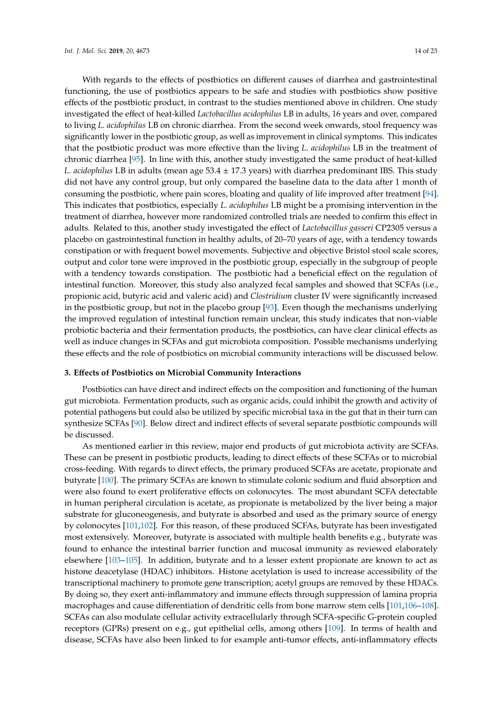With regards to the effects of postbiotics on different causes of diarrhea and gastrointestinal functioning, the use of postbiotics appears to be safe and studies with postbiotics show positive effects of the postbiotic product, in contrast to the studies mentioned above in children. One study investigated the effect of heat-killed *Lactobacillus acidophilus* LB in adults, 16 years and over, compared to living *L. acidophilus* LB on chronic diarrhea. From the second week onwards, stool frequency was significantly lower in the postbiotic group, as well as improvement in clinical symptoms. This indicates that the postbiotic product was more effective than the living *L. acidophilus* LB in the treatment of chronic diarrhea [\[95\]](#page-21-18). In line with this, another study investigated the same product of heat-killed *L. acidophilus* LB in adults (mean age 53.4 ± 17.3 years) with diarrhea predominant IBS. This study did not have any control group, but only compared the baseline data to the data after 1 month of consuming the postbiotic, where pain scores, bloating and quality of life improved after treatment [\[94\]](#page-21-29). This indicates that postbiotics, especially *L. acidophilus* LB might be a promising intervention in the treatment of diarrhea, however more randomized controlled trials are needed to confirm this effect in adults. Related to this, another study investigated the effect of *Lactobacillus gasseri* CP2305 versus a placebo on gastrointestinal function in healthy adults, of 20–70 years of age, with a tendency towards constipation or with frequent bowel movements. Subjective and objective Bristol stool scale scores, output and color tone were improved in the postbiotic group, especially in the subgroup of people with a tendency towards constipation. The postbiotic had a beneficial effect on the regulation of intestinal function. Moreover, this study also analyzed fecal samples and showed that SCFAs (i.e., propionic acid, butyric acid and valeric acid) and *Clostridium* cluster IV were significantly increased in the postbiotic group, but not in the placebo group [\[93\]](#page-21-17). Even though the mechanisms underlying the improved regulation of intestinal function remain unclear, this study indicates that non-viable probiotic bacteria and their fermentation products, the postbiotics, can have clear clinical effects as well as induce changes in SCFAs and gut microbiota composition. Possible mechanisms underlying these effects and the role of postbiotics on microbial community interactions will be discussed below.

#### **3. E**ff**ects of Postbiotics on Microbial Community Interactions**

Postbiotics can have direct and indirect effects on the composition and functioning of the human gut microbiota. Fermentation products, such as organic acids, could inhibit the growth and activity of potential pathogens but could also be utilized by specific microbial taxa in the gut that in their turn can synthesize SCFAs [\[90\]](#page-21-6). Below direct and indirect effects of several separate postbiotic compounds will be discussed.

As mentioned earlier in this review, major end products of gut microbiota activity are SCFAs. These can be present in postbiotic products, leading to direct effects of these SCFAs or to microbial cross-feeding. With regards to direct effects, the primary produced SCFAs are acetate, propionate and butyrate [\[100\]](#page-21-30). The primary SCFAs are known to stimulate colonic sodium and fluid absorption and were also found to exert proliferative effects on colonocytes. The most abundant SCFA detectable in human peripheral circulation is acetate, as propionate is metabolized by the liver being a major substrate for gluconeogenesis, and butyrate is absorbed and used as the primary source of energy by colonocytes [\[101,](#page-21-31)[102\]](#page-22-0). For this reason, of these produced SCFAs, butyrate has been investigated most extensively. Moreover, butyrate is associated with multiple health benefits e.g., butyrate was found to enhance the intestinal barrier function and mucosal immunity as reviewed elaborately elsewhere [\[103](#page-22-1)[–105\]](#page-22-2). In addition, butyrate and to a lesser extent propionate are known to act as histone deacetylase (HDAC) inhibitors. Histone acetylation is used to increase accessibility of the transcriptional machinery to promote gene transcription; acetyl groups are removed by these HDACs. By doing so, they exert anti-inflammatory and immune effects through suppression of lamina propria macrophages and cause differentiation of dendritic cells from bone marrow stem cells [\[101,](#page-21-31)[106–](#page-22-3)[108\]](#page-22-4). SCFAs can also modulate cellular activity extracellularly through SCFA-specific G-protein coupled receptors (GPRs) present on e.g., gut epithelial cells, among others [\[109\]](#page-22-5). In terms of health and disease, SCFAs have also been linked to for example anti-tumor effects, anti-inflammatory effects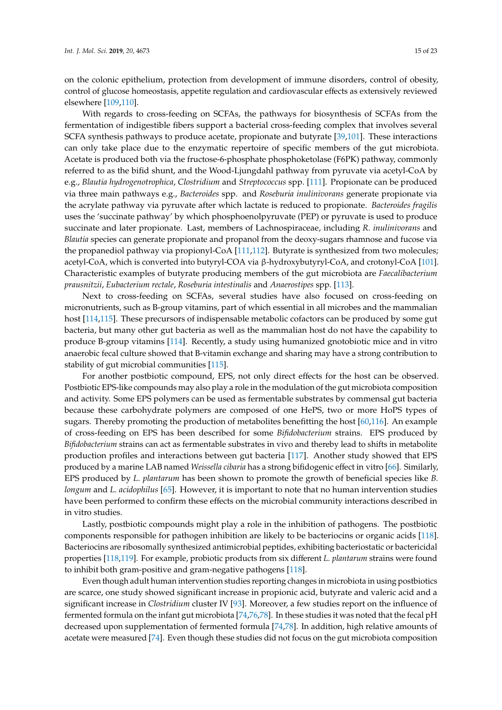on the colonic epithelium, protection from development of immune disorders, control of obesity, control of glucose homeostasis, appetite regulation and cardiovascular effects as extensively reviewed elsewhere [\[109](#page-22-5)[,110\]](#page-22-6).

With regards to cross-feeding on SCFAs, the pathways for biosynthesis of SCFAs from the fermentation of indigestible fibers support a bacterial cross-feeding complex that involves several SCFA synthesis pathways to produce acetate, propionate and butyrate [\[39](#page-18-11)[,101\]](#page-21-31). These interactions can only take place due to the enzymatic repertoire of specific members of the gut microbiota. Acetate is produced both via the fructose-6-phosphate phosphoketolase (F6PK) pathway, commonly referred to as the bifid shunt, and the Wood-Ljungdahl pathway from pyruvate via acetyl-CoA by e.g., *Blautia hydrogenotrophica*, *Clostridium* and *Streptococcus* spp. [\[111\]](#page-22-7). Propionate can be produced via three main pathways e.g., *Bacteroides* spp. and *Roseburia inulinivorans* generate propionate via the acrylate pathway via pyruvate after which lactate is reduced to propionate. *Bacteroides fragilis* uses the 'succinate pathway' by which phosphoenolpyruvate (PEP) or pyruvate is used to produce succinate and later propionate. Last, members of Lachnospiraceae, including *R. inulinivorans* and *Blautia* species can generate propionate and propanol from the deoxy-sugars rhamnose and fucose via the propanediol pathway via propionyl-CoA [\[111,](#page-22-7)[112\]](#page-22-8). Butyrate is synthesized from two molecules; acetyl-CoA, which is converted into butyryl-COA via β-hydroxybutyryl-CoA, and crotonyl-CoA [\[101\]](#page-21-31). Characteristic examples of butyrate producing members of the gut microbiota are *Faecalibacterium prausnitzii*, *Eubacterium rectale*, *Roseburia intestinalis* and *Anaerostipes* spp. [\[113\]](#page-22-9).

Next to cross-feeding on SCFAs, several studies have also focused on cross-feeding on micronutrients, such as B-group vitamins, part of which essential in all microbes and the mammalian host [\[114](#page-22-10)[,115\]](#page-22-11). These precursors of indispensable metabolic cofactors can be produced by some gut bacteria, but many other gut bacteria as well as the mammalian host do not have the capability to produce B-group vitamins [\[114\]](#page-22-10). Recently, a study using humanized gnotobiotic mice and in vitro anaerobic fecal culture showed that B-vitamin exchange and sharing may have a strong contribution to stability of gut microbial communities [\[115\]](#page-22-11).

For another postbiotic compound, EPS, not only direct effects for the host can be observed. Postbiotic EPS-like compounds may also play a role in the modulation of the gut microbiota composition and activity. Some EPS polymers can be used as fermentable substrates by commensal gut bacteria because these carbohydrate polymers are composed of one HePS, two or more HoPS types of sugars. Thereby promoting the production of metabolites benefitting the host [\[60,](#page-19-13)[116\]](#page-22-12). An example of cross-feeding on EPS has been described for some *Bifidobacterium* strains. EPS produced by *Bifidobacterium* strains can act as fermentable substrates in vivo and thereby lead to shifts in metabolite production profiles and interactions between gut bacteria [\[117\]](#page-22-13). Another study showed that EPS produced by a marine LAB named *Weissella cibaria* has a strong bifidogenic effect in vitro [\[66\]](#page-19-19). Similarly, EPS produced by *L. plantarum* has been shown to promote the growth of beneficial species like *B. longum* and *L. acidophilus* [\[65\]](#page-19-18). However, it is important to note that no human intervention studies have been performed to confirm these effects on the microbial community interactions described in in vitro studies.

Lastly, postbiotic compounds might play a role in the inhibition of pathogens. The postbiotic components responsible for pathogen inhibition are likely to be bacteriocins or organic acids [\[118\]](#page-22-14). Bacteriocins are ribosomally synthesized antimicrobial peptides, exhibiting bacteriostatic or bactericidal properties [\[118](#page-22-14)[,119\]](#page-22-15). For example, probiotic products from six different *L. plantarum* strains were found to inhibit both gram-positive and gram-negative pathogens [\[118\]](#page-22-14).

Even though adult human intervention studies reporting changes in microbiota in using postbiotics are scarce, one study showed significant increase in propionic acid, butyrate and valeric acid and a significant increase in *Clostridium* cluster IV [\[93\]](#page-21-17). Moreover, a few studies report on the influence of fermented formula on the infant gut microbiota [\[74,](#page-20-8)[76,](#page-20-9)[78\]](#page-20-14). In these studies it was noted that the fecal pH decreased upon supplementation of fermented formula [\[74,](#page-20-8)[78\]](#page-20-14). In addition, high relative amounts of acetate were measured [\[74\]](#page-20-8). Even though these studies did not focus on the gut microbiota composition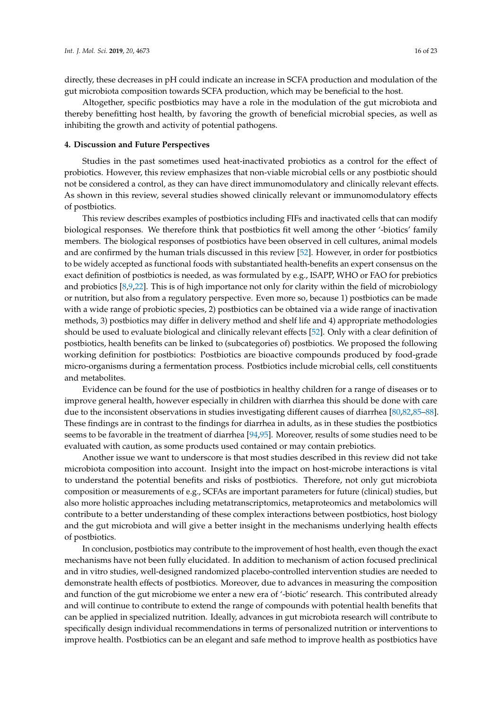directly, these decreases in pH could indicate an increase in SCFA production and modulation of the gut microbiota composition towards SCFA production, which may be beneficial to the host.

Altogether, specific postbiotics may have a role in the modulation of the gut microbiota and thereby benefitting host health, by favoring the growth of beneficial microbial species, as well as inhibiting the growth and activity of potential pathogens.

#### **4. Discussion and Future Perspectives**

Studies in the past sometimes used heat-inactivated probiotics as a control for the effect of probiotics. However, this review emphasizes that non-viable microbial cells or any postbiotic should not be considered a control, as they can have direct immunomodulatory and clinically relevant effects. As shown in this review, several studies showed clinically relevant or immunomodulatory effects of postbiotics.

This review describes examples of postbiotics including FIFs and inactivated cells that can modify biological responses. We therefore think that postbiotics fit well among the other '-biotics' family members. The biological responses of postbiotics have been observed in cell cultures, animal models and are confirmed by the human trials discussed in this review [\[52\]](#page-19-5). However, in order for postbiotics to be widely accepted as functional foods with substantiated health-benefits an expert consensus on the exact definition of postbiotics is needed, as was formulated by e.g., ISAPP, WHO or FAO for prebiotics and probiotics [\[8,](#page-17-4)[9](#page-17-5)[,22\]](#page-17-17). This is of high importance not only for clarity within the field of microbiology or nutrition, but also from a regulatory perspective. Even more so, because 1) postbiotics can be made with a wide range of probiotic species, 2) postbiotics can be obtained via a wide range of inactivation methods, 3) postbiotics may differ in delivery method and shelf life and 4) appropriate methodologies should be used to evaluate biological and clinically relevant effects [\[52\]](#page-19-5). Only with a clear definition of postbiotics, health benefits can be linked to (subcategories of) postbiotics. We proposed the following working definition for postbiotics: Postbiotics are bioactive compounds produced by food-grade micro-organisms during a fermentation process. Postbiotics include microbial cells, cell constituents and metabolites.

Evidence can be found for the use of postbiotics in healthy children for a range of diseases or to improve general health, however especially in children with diarrhea this should be done with care due to the inconsistent observations in studies investigating different causes of diarrhea [\[80](#page-20-16)[,82](#page-20-10)[,85–](#page-21-1)[88\]](#page-21-4). These findings are in contrast to the findings for diarrhea in adults, as in these studies the postbiotics seems to be favorable in the treatment of diarrhea [\[94](#page-21-29)[,95\]](#page-21-18). Moreover, results of some studies need to be evaluated with caution, as some products used contained or may contain prebiotics.

Another issue we want to underscore is that most studies described in this review did not take microbiota composition into account. Insight into the impact on host-microbe interactions is vital to understand the potential benefits and risks of postbiotics. Therefore, not only gut microbiota composition or measurements of e.g., SCFAs are important parameters for future (clinical) studies, but also more holistic approaches including metatranscriptomics, metaproteomics and metabolomics will contribute to a better understanding of these complex interactions between postbiotics, host biology and the gut microbiota and will give a better insight in the mechanisms underlying health effects of postbiotics.

In conclusion, postbiotics may contribute to the improvement of host health, even though the exact mechanisms have not been fully elucidated. In addition to mechanism of action focused preclinical and in vitro studies, well-designed randomized placebo-controlled intervention studies are needed to demonstrate health effects of postbiotics. Moreover, due to advances in measuring the composition and function of the gut microbiome we enter a new era of '-biotic' research. This contributed already and will continue to contribute to extend the range of compounds with potential health benefits that can be applied in specialized nutrition. Ideally, advances in gut microbiota research will contribute to specifically design individual recommendations in terms of personalized nutrition or interventions to improve health. Postbiotics can be an elegant and safe method to improve health as postbiotics have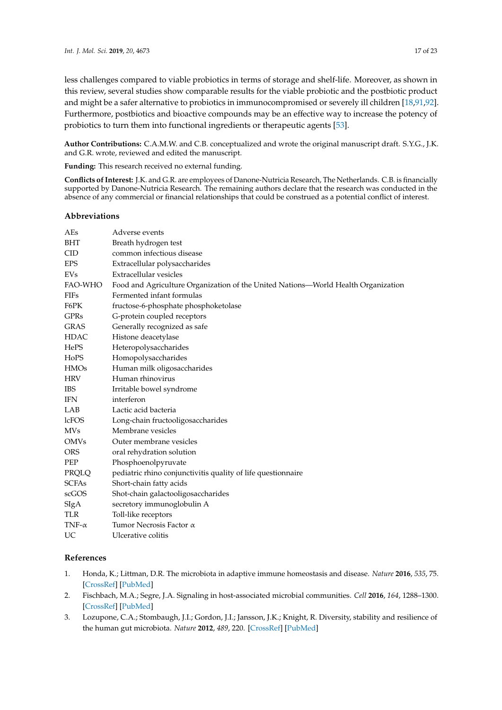less challenges compared to viable probiotics in terms of storage and shelf-life. Moreover, as shown in this review, several studies show comparable results for the viable probiotic and the postbiotic product and might be a safer alternative to probiotics in immunocompromised or severely ill children [\[18](#page-17-13)[,91](#page-21-7)[,92\]](#page-21-8). Furthermore, postbiotics and bioactive compounds may be an effective way to increase the potency of probiotics to turn them into functional ingredients or therapeutic agents [\[53\]](#page-19-6).

**Author Contributions:** C.A.M.W. and C.B. conceptualized and wrote the original manuscript draft. S.Y.G., J.K. and G.R. wrote, reviewed and edited the manuscript.

**Funding:** This research received no external funding.

**Conflicts of Interest:** J.K. and G.R. are employees of Danone-Nutricia Research, The Netherlands. C.B. is financially supported by Danone-Nutricia Research. The remaining authors declare that the research was conducted in the absence of any commercial or financial relationships that could be construed as a potential conflict of interest.

#### **Abbreviations**

| AEs           | Adverse events                                                                    |
|---------------|-----------------------------------------------------------------------------------|
| <b>BHT</b>    | Breath hydrogen test                                                              |
| <b>CID</b>    | common infectious disease                                                         |
| <b>EPS</b>    | Extracellular polysaccharides                                                     |
| EVs           | Extracellular vesicles                                                            |
| FAO-WHO       | Food and Agriculture Organization of the United Nations—World Health Organization |
| <b>FIFs</b>   | Fermented infant formulas                                                         |
| F6PK          | fructose-6-phosphate phosphoketolase                                              |
| <b>GPRs</b>   | G-protein coupled receptors                                                       |
| <b>GRAS</b>   | Generally recognized as safe                                                      |
| HDAC          | Histone deacetylase                                                               |
| HePS          | Heteropolysaccharides                                                             |
| HoPS          | Homopolysaccharides                                                               |
| <b>HMOs</b>   | Human milk oligosaccharides                                                       |
| <b>HRV</b>    | Human rhinovirus                                                                  |
| <b>IBS</b>    | Irritable bowel syndrome                                                          |
| <b>IFN</b>    | interferon                                                                        |
| LAB           | Lactic acid bacteria                                                              |
| <b>lcFOS</b>  | Long-chain fructooligosaccharides                                                 |
| <b>MVs</b>    | Membrane vesicles                                                                 |
| <b>OMVs</b>   | Outer membrane vesicles                                                           |
| <b>ORS</b>    | oral rehydration solution                                                         |
| PEP           | Phosphoenolpyruvate                                                               |
| PRQLQ         | pediatric rhino conjunctivitis quality of life questionnaire                      |
| <b>SCFAs</b>  | Short-chain fatty acids                                                           |
| scGOS         | Shot-chain galactooligosaccharides                                                |
| SIgA          | secretory immunoglobulin A                                                        |
| <b>TLR</b>    | Toll-like receptors                                                               |
| TNF- $\alpha$ | Tumor Necrosis Factor $\alpha$                                                    |
| UC            | Ulcerative colitis                                                                |
|               |                                                                                   |

## **References**

- <span id="page-16-0"></span>1. Honda, K.; Littman, D.R. The microbiota in adaptive immune homeostasis and disease. *Nature* **2016**, *535*, 75. [\[CrossRef\]](http://dx.doi.org/10.1038/nature18848) [\[PubMed\]](http://www.ncbi.nlm.nih.gov/pubmed/27383982)
- <span id="page-16-1"></span>2. Fischbach, M.A.; Segre, J.A. Signaling in host-associated microbial communities. *Cell* **2016**, *164*, 1288–1300. [\[CrossRef\]](http://dx.doi.org/10.1016/j.cell.2016.02.037) [\[PubMed\]](http://www.ncbi.nlm.nih.gov/pubmed/26967294)
- <span id="page-16-2"></span>3. Lozupone, C.A.; Stombaugh, J.I.; Gordon, J.I.; Jansson, J.K.; Knight, R. Diversity, stability and resilience of the human gut microbiota. *Nature* **2012**, *489*, 220. [\[CrossRef\]](http://dx.doi.org/10.1038/nature11550) [\[PubMed\]](http://www.ncbi.nlm.nih.gov/pubmed/22972295)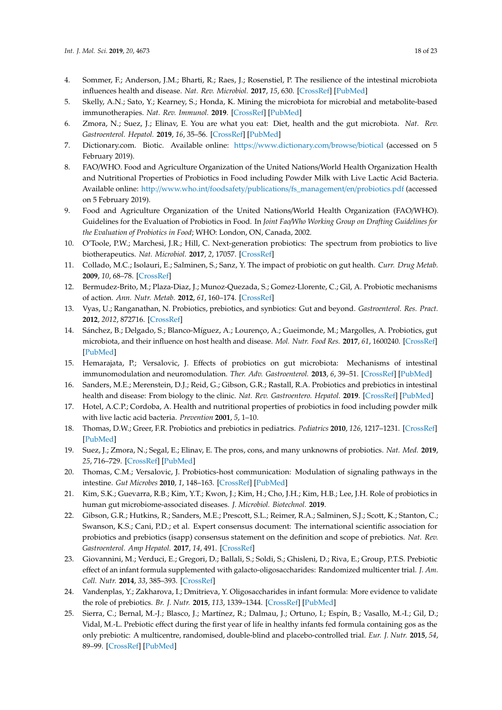- <span id="page-17-0"></span>4. Sommer, F.; Anderson, J.M.; Bharti, R.; Raes, J.; Rosenstiel, P. The resilience of the intestinal microbiota influences health and disease. *Nat. Rev. Microbiol.* **2017**, *15*, 630. [\[CrossRef\]](http://dx.doi.org/10.1038/nrmicro.2017.58) [\[PubMed\]](http://www.ncbi.nlm.nih.gov/pubmed/28626231)
- <span id="page-17-1"></span>5. Skelly, A.N.; Sato, Y.; Kearney, S.; Honda, K. Mining the microbiota for microbial and metabolite-based immunotherapies. *Nat. Rev. Immunol.* **2019**. [\[CrossRef\]](http://dx.doi.org/10.1038/s41577-019-0144-5) [\[PubMed\]](http://www.ncbi.nlm.nih.gov/pubmed/30858494)
- <span id="page-17-2"></span>6. Zmora, N.; Suez, J.; Elinav, E. You are what you eat: Diet, health and the gut microbiota. *Nat. Rev. Gastroenterol. Hepatol.* **2019**, *16*, 35–56. [\[CrossRef\]](http://dx.doi.org/10.1038/s41575-018-0061-2) [\[PubMed\]](http://www.ncbi.nlm.nih.gov/pubmed/30262901)
- <span id="page-17-3"></span>7. Dictionary.com. Biotic. Available online: https://[www.dictionary.com](https://www.dictionary.com/browse/biotical)/browse/biotical (accessed on 5 February 2019).
- <span id="page-17-4"></span>8. FAO/WHO. Food and Agriculture Organization of the United Nations/World Health Organization Health and Nutritional Properties of Probiotics in Food including Powder Milk with Live Lactic Acid Bacteria. Available online: http://www.who.int/foodsafety/publications/[fs\\_management](http://www.who.int/foodsafety/publications/fs_management/en/probiotics.pdf)/en/probiotics.pdf (accessed on 5 February 2019).
- <span id="page-17-5"></span>9. Food and Agriculture Organization of the United Nations/World Health Organization (FAO/WHO). Guidelines for the Evaluation of Probiotics in Food. In *Joint Fao*/*Who Working Group on Drafting Guidelines for the Evaluation of Probiotics in Food*; WHO: London, ON, Canada, 2002.
- <span id="page-17-6"></span>10. O'Toole, P.W.; Marchesi, J.R.; Hill, C. Next-generation probiotics: The spectrum from probiotics to live biotherapeutics. *Nat. Microbiol.* **2017**, *2*, 17057. [\[CrossRef\]](http://dx.doi.org/10.1038/nmicrobiol.2017.57)
- <span id="page-17-7"></span>11. Collado, M.C.; Isolauri, E.; Salminen, S.; Sanz, Y. The impact of probiotic on gut health. *Curr. Drug Metab.* **2009**, *10*, 68–78. [\[CrossRef\]](http://dx.doi.org/10.2174/138920009787048437)
- <span id="page-17-10"></span>12. Bermudez-Brito, M.; Plaza-Diaz, J.; Munoz-Quezada, S.; Gomez-Llorente, C.; Gil, A. Probiotic mechanisms of action. *Ann. Nutr. Metab.* **2012**, *61*, 160–174. [\[CrossRef\]](http://dx.doi.org/10.1159/000342079)
- <span id="page-17-18"></span>13. Vyas, U.; Ranganathan, N. Probiotics, prebiotics, and synbiotics: Gut and beyond. *Gastroenterol. Res. Pract.* **2012**, *2012*, 872716. [\[CrossRef\]](http://dx.doi.org/10.1155/2012/872716)
- <span id="page-17-8"></span>14. Sánchez, B.; Delgado, S.; Blanco-Míguez, A.; Lourenço, A.; Gueimonde, M.; Margolles, A. Probiotics, gut microbiota, and their influence on host health and disease. *Mol. Nutr. Food Res.* **2017**, *61*, 1600240. [\[CrossRef\]](http://dx.doi.org/10.1002/mnfr.201600240) [\[PubMed\]](http://www.ncbi.nlm.nih.gov/pubmed/27500859)
- <span id="page-17-9"></span>15. Hemarajata, P.; Versalovic, J. Effects of probiotics on gut microbiota: Mechanisms of intestinal immunomodulation and neuromodulation. *Ther. Adv. Gastroenterol.* **2013**, *6*, 39–51. [\[CrossRef\]](http://dx.doi.org/10.1177/1756283X12459294) [\[PubMed\]](http://www.ncbi.nlm.nih.gov/pubmed/23320049)
- <span id="page-17-11"></span>16. Sanders, M.E.; Merenstein, D.J.; Reid, G.; Gibson, G.R.; Rastall, R.A. Probiotics and prebiotics in intestinal health and disease: From biology to the clinic. *Nat. Rev. Gastroentero. Hepatol.* **2019**. [\[CrossRef\]](http://dx.doi.org/10.1038/s41575-019-0173-3) [\[PubMed\]](http://www.ncbi.nlm.nih.gov/pubmed/31296969)
- <span id="page-17-12"></span>17. Hotel, A.C.P.; Cordoba, A. Health and nutritional properties of probiotics in food including powder milk with live lactic acid bacteria. *Prevention* **2001**, *5*, 1–10.
- <span id="page-17-13"></span>18. Thomas, D.W.; Greer, F.R. Probiotics and prebiotics in pediatrics. *Pediatrics* **2010**, *126*, 1217–1231. [\[CrossRef\]](http://dx.doi.org/10.1542/peds.2010-2548) [\[PubMed\]](http://www.ncbi.nlm.nih.gov/pubmed/21115585)
- <span id="page-17-14"></span>19. Suez, J.; Zmora, N.; Segal, E.; Elinav, E. The pros, cons, and many unknowns of probiotics. *Nat. Med.* **2019**, *25*, 716–729. [\[CrossRef\]](http://dx.doi.org/10.1038/s41591-019-0439-x) [\[PubMed\]](http://www.ncbi.nlm.nih.gov/pubmed/31061539)
- <span id="page-17-15"></span>20. Thomas, C.M.; Versalovic, J. Probiotics-host communication: Modulation of signaling pathways in the intestine. *Gut Microbes* **2010**, *1*, 148–163. [\[CrossRef\]](http://dx.doi.org/10.4161/gmic.1.3.11712) [\[PubMed\]](http://www.ncbi.nlm.nih.gov/pubmed/20672012)
- <span id="page-17-16"></span>21. Kim, S.K.; Guevarra, R.B.; Kim, Y.T.; Kwon, J.; Kim, H.; Cho, J.H.; Kim, H.B.; Lee, J.H. Role of probiotics in human gut microbiome-associated diseases. *J. Microbiol. Biotechnol.* **2019**.
- <span id="page-17-17"></span>22. Gibson, G.R.; Hutkins, R.; Sanders, M.E.; Prescott, S.L.; Reimer, R.A.; Salminen, S.J.; Scott, K.; Stanton, C.; Swanson, K.S.; Cani, P.D.; et al. Expert consensus document: The international scientific association for probiotics and prebiotics (isapp) consensus statement on the definition and scope of prebiotics. *Nat. Rev. Gastroenterol. Amp Hepatol.* **2017**, *14*, 491. [\[CrossRef\]](http://dx.doi.org/10.1038/nrgastro.2017.75)
- <span id="page-17-19"></span>23. Giovannini, M.; Verduci, E.; Gregori, D.; Ballali, S.; Soldi, S.; Ghisleni, D.; Riva, E.; Group, P.T.S. Prebiotic effect of an infant formula supplemented with galacto-oligosaccharides: Randomized multicenter trial. *J. Am. Coll. Nutr.* **2014**, *33*, 385–393. [\[CrossRef\]](http://dx.doi.org/10.1080/07315724.2013.878232)
- 24. Vandenplas, Y.; Zakharova, I.; Dmitrieva, Y. Oligosaccharides in infant formula: More evidence to validate the role of prebiotics. *Br. J. Nutr.* **2015**, *113*, 1339–1344. [\[CrossRef\]](http://dx.doi.org/10.1017/S0007114515000823) [\[PubMed\]](http://www.ncbi.nlm.nih.gov/pubmed/25989994)
- 25. Sierra, C.; Bernal, M.-J.; Blasco, J.; Martínez, R.; Dalmau, J.; Ortuno, I.; Espín, B.; Vasallo, M.-I.; Gil, D.; Vidal, M.-L. Prebiotic effect during the first year of life in healthy infants fed formula containing gos as the only prebiotic: A multicentre, randomised, double-blind and placebo-controlled trial. *Eur. J. Nutr.* **2015**, *54*, 89–99. [\[CrossRef\]](http://dx.doi.org/10.1007/s00394-014-0689-9) [\[PubMed\]](http://www.ncbi.nlm.nih.gov/pubmed/24671237)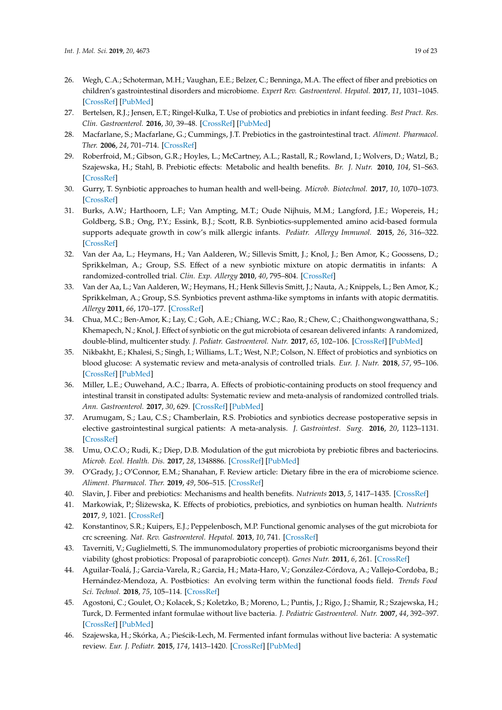- <span id="page-18-10"></span>26. Wegh, C.A.; Schoterman, M.H.; Vaughan, E.E.; Belzer, C.; Benninga, M.A. The effect of fiber and prebiotics on children's gastrointestinal disorders and microbiome. *Expert Rev. Gastroenterol. Hepatol.* **2017**, *11*, 1031–1045. [\[CrossRef\]](http://dx.doi.org/10.1080/17474124.2017.1359539) [\[PubMed\]](http://www.ncbi.nlm.nih.gov/pubmed/28737484)
- <span id="page-18-0"></span>27. Bertelsen, R.J.; Jensen, E.T.; Ringel-Kulka, T. Use of probiotics and prebiotics in infant feeding. *Best Pract. Res. Clin. Gastroenterol.* **2016**, *30*, 39–48. [\[CrossRef\]](http://dx.doi.org/10.1016/j.bpg.2016.01.001) [\[PubMed\]](http://www.ncbi.nlm.nih.gov/pubmed/27048895)
- <span id="page-18-1"></span>28. Macfarlane, S.; Macfarlane, G.; Cummings, J.T. Prebiotics in the gastrointestinal tract. *Aliment. Pharmacol. Ther.* **2006**, *24*, 701–714. [\[CrossRef\]](http://dx.doi.org/10.1111/j.1365-2036.2006.03042.x)
- <span id="page-18-2"></span>29. Roberfroid, M.; Gibson, G.R.; Hoyles, L.; McCartney, A.L.; Rastall, R.; Rowland, I.; Wolvers, D.; Watzl, B.; Szajewska, H.; Stahl, B. Prebiotic effects: Metabolic and health benefits. *Br. J. Nutr.* **2010**, *104*, S1–S63. [\[CrossRef\]](http://dx.doi.org/10.1017/S0007114510003363)
- <span id="page-18-3"></span>30. Gurry, T. Synbiotic approaches to human health and well-being. *Microb. Biotechnol.* **2017**, *10*, 1070–1073. [\[CrossRef\]](http://dx.doi.org/10.1111/1751-7915.12789)
- <span id="page-18-4"></span>31. Burks, A.W.; Harthoorn, L.F.; Van Ampting, M.T.; Oude Nijhuis, M.M.; Langford, J.E.; Wopereis, H.; Goldberg, S.B.; Ong, P.Y.; Essink, B.J.; Scott, R.B. Synbiotics-supplemented amino acid-based formula supports adequate growth in cow's milk allergic infants. *Pediatr. Allergy Immunol.* **2015**, *26*, 316–322. [\[CrossRef\]](http://dx.doi.org/10.1111/pai.12390)
- 32. Van der Aa, L.; Heymans, H.; Van Aalderen, W.; Sillevis Smitt, J.; Knol, J.; Ben Amor, K.; Goossens, D.; Sprikkelman, A.; Group, S.S. Effect of a new synbiotic mixture on atopic dermatitis in infants: A randomized-controlled trial. *Clin. Exp. Allergy* **2010**, *40*, 795–804. [\[CrossRef\]](http://dx.doi.org/10.1111/j.1365-2222.2010.03465.x)
- <span id="page-18-5"></span>33. Van der Aa, L.; Van Aalderen, W.; Heymans, H.; Henk Sillevis Smitt, J.; Nauta, A.; Knippels, L.; Ben Amor, K.; Sprikkelman, A.; Group, S.S. Synbiotics prevent asthma-like symptoms in infants with atopic dermatitis. *Allergy* **2011**, *66*, 170–177. [\[CrossRef\]](http://dx.doi.org/10.1111/j.1398-9995.2010.02416.x)
- <span id="page-18-6"></span>34. Chua, M.C.; Ben-Amor, K.; Lay, C.; Goh, A.E.; Chiang, W.C.; Rao, R.; Chew, C.; Chaithongwongwatthana, S.; Khemapech, N.; Knol, J. Effect of synbiotic on the gut microbiota of cesarean delivered infants: A randomized, double-blind, multicenter study. *J. Pediatr. Gastroenterol. Nutr.* **2017**, *65*, 102–106. [\[CrossRef\]](http://dx.doi.org/10.1097/MPG.0000000000001623) [\[PubMed\]](http://www.ncbi.nlm.nih.gov/pubmed/28644357)
- <span id="page-18-7"></span>35. Nikbakht, E.; Khalesi, S.; Singh, I.; Williams, L.T.; West, N.P.; Colson, N. Effect of probiotics and synbiotics on blood glucose: A systematic review and meta-analysis of controlled trials. *Eur. J. Nutr.* **2018**, *57*, 95–106. [\[CrossRef\]](http://dx.doi.org/10.1007/s00394-016-1300-3) [\[PubMed\]](http://www.ncbi.nlm.nih.gov/pubmed/27590729)
- 36. Miller, L.E.; Ouwehand, A.C.; Ibarra, A. Effects of probiotic-containing products on stool frequency and intestinal transit in constipated adults: Systematic review and meta-analysis of randomized controlled trials. *Ann. Gastroenterol.* **2017**, *30*, 629. [\[CrossRef\]](http://dx.doi.org/10.20524/aog.2017.0192) [\[PubMed\]](http://www.ncbi.nlm.nih.gov/pubmed/29118557)
- <span id="page-18-8"></span>37. Arumugam, S.; Lau, C.S.; Chamberlain, R.S. Probiotics and synbiotics decrease postoperative sepsis in elective gastrointestinal surgical patients: A meta-analysis. *J. Gastrointest. Surg.* **2016**, *20*, 1123–1131. [\[CrossRef\]](http://dx.doi.org/10.1007/s11605-016-3142-y)
- <span id="page-18-9"></span>38. Umu, O.C.O.; Rudi, K.; Diep, D.B. Modulation of the gut microbiota by prebiotic fibres and bacteriocins. *Microb. Ecol. Health. Dis.* **2017**, *28*, 1348886. [\[CrossRef\]](http://dx.doi.org/10.1080/16512235.2017.1348886) [\[PubMed\]](http://www.ncbi.nlm.nih.gov/pubmed/28959178)
- <span id="page-18-11"></span>39. O'Grady, J.; O'Connor, E.M.; Shanahan, F. Review article: Dietary fibre in the era of microbiome science. *Aliment. Pharmacol. Ther.* **2019**, *49*, 506–515. [\[CrossRef\]](http://dx.doi.org/10.1111/apt.15129)
- 40. Slavin, J. Fiber and prebiotics: Mechanisms and health benefits. *Nutrients* **2013**, *5*, 1417–1435. [\[CrossRef\]](http://dx.doi.org/10.3390/nu5041417)
- 41. Markowiak, P.; Śliżewska, K. Effects of probiotics, prebiotics, and synbiotics on human health. *Nutrients* **2017**, *9*, 1021. [\[CrossRef\]](http://dx.doi.org/10.3390/nu9091021)
- <span id="page-18-12"></span>42. Konstantinov, S.R.; Kuipers, E.J.; Peppelenbosch, M.P. Functional genomic analyses of the gut microbiota for crc screening. *Nat. Rev. Gastroenterol. Hepatol.* **2013**, *10*, 741. [\[CrossRef\]](http://dx.doi.org/10.1038/nrgastro.2013.178)
- <span id="page-18-13"></span>43. Taverniti, V.; Guglielmetti, S. The immunomodulatory properties of probiotic microorganisms beyond their viability (ghost probiotics: Proposal of paraprobiotic concept). *Genes Nutr.* **2011**, *6*, 261. [\[CrossRef\]](http://dx.doi.org/10.1007/s12263-011-0218-x)
- <span id="page-18-14"></span>44. Aguilar-Toalá, J.; Garcia-Varela, R.; Garcia, H.; Mata-Haro, V.; González-Córdova, A.; Vallejo-Cordoba, B.; Hernández-Mendoza, A. Postbiotics: An evolving term within the functional foods field. *Trends Food Sci. Technol.* **2018**, *75*, 105–114. [\[CrossRef\]](http://dx.doi.org/10.1016/j.tifs.2018.03.009)
- <span id="page-18-15"></span>45. Agostoni, C.; Goulet, O.; Kolacek, S.; Koletzko, B.; Moreno, L.; Puntis, J.; Rigo, J.; Shamir, R.; Szajewska, H.; Turck, D. Fermented infant formulae without live bacteria. *J. Pediatric Gastroenterol. Nutr.* **2007**, *44*, 392–397. [\[CrossRef\]](http://dx.doi.org/10.1097/01.mpg.0000258887.93866.69) [\[PubMed\]](http://www.ncbi.nlm.nih.gov/pubmed/17325568)
- <span id="page-18-16"></span>46. Szajewska, H.; Skórka, A.; Pieścik-Lech, M. Fermented infant formulas without live bacteria: A systematic review. *Eur. J. Pediatr.* **2015**, *174*, 1413–1420. [\[CrossRef\]](http://dx.doi.org/10.1007/s00431-015-2629-y) [\[PubMed\]](http://www.ncbi.nlm.nih.gov/pubmed/26358067)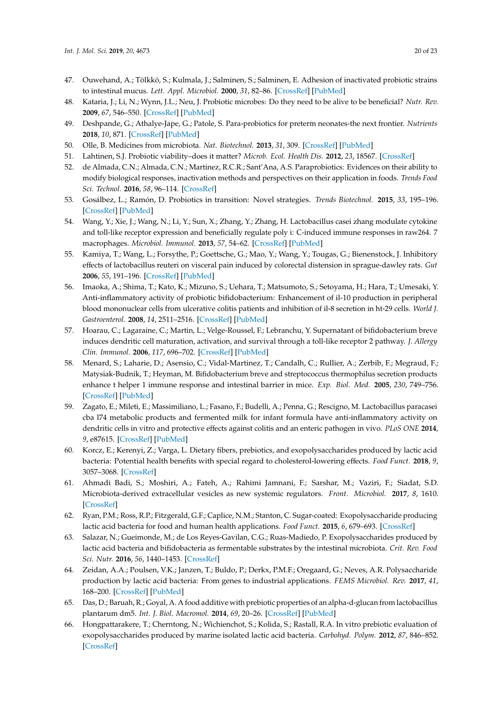- <span id="page-19-0"></span>47. Ouwehand, A.; Tölkkö, S.; Kulmala, J.; Salminen, S.; Salminen, E. Adhesion of inactivated probiotic strains to intestinal mucus. *Lett. Appl. Microbiol.* **2000**, *31*, 82–86. [\[CrossRef\]](http://dx.doi.org/10.1046/j.1472-765x.2000.00773.x) [\[PubMed\]](http://www.ncbi.nlm.nih.gov/pubmed/10886621)
- <span id="page-19-1"></span>48. Kataria, J.; Li, N.; Wynn, J.L.; Neu, J. Probiotic microbes: Do they need to be alive to be beneficial? *Nutr. Rev.* **2009**, *67*, 546–550. [\[CrossRef\]](http://dx.doi.org/10.1111/j.1753-4887.2009.00226.x) [\[PubMed\]](http://www.ncbi.nlm.nih.gov/pubmed/19703261)
- <span id="page-19-2"></span>49. Deshpande, G.; Athalye-Jape, G.; Patole, S. Para-probiotics for preterm neonates-the next frontier. *Nutrients* **2018**, *10*, 871. [\[CrossRef\]](http://dx.doi.org/10.3390/nu10070871) [\[PubMed\]](http://www.ncbi.nlm.nih.gov/pubmed/29976885)
- <span id="page-19-3"></span>50. Olle, B. Medicines from microbiota. *Nat. Biotechnol.* **2013**, *31*, 309. [\[CrossRef\]](http://dx.doi.org/10.1038/nbt.2548) [\[PubMed\]](http://www.ncbi.nlm.nih.gov/pubmed/23563425)
- <span id="page-19-4"></span>51. Lahtinen, S.J. Probiotic viability–does it matter? *Microb. Ecol. Health Dis.* **2012**, *23*, 18567. [\[CrossRef\]](http://dx.doi.org/10.3402/mehd.v23i0.18567)
- <span id="page-19-5"></span>52. de Almada, C.N.; Almada, C.N.; Martinez, R.C.R.; Sant'Ana, A.S. Paraprobiotics: Evidences on their ability to modify biological responses, inactivation methods and perspectives on their application in foods. *Trends Food Sci. Technol.* **2016**, *58*, 96–114. [\[CrossRef\]](http://dx.doi.org/10.1016/j.tifs.2016.09.011)
- <span id="page-19-6"></span>53. Gosálbez, L.; Ramón, D. Probiotics in transition: Novel strategies. *Trends Biotechnol.* **2015**, *33*, 195–196. [\[CrossRef\]](http://dx.doi.org/10.1016/j.tibtech.2015.01.006) [\[PubMed\]](http://www.ncbi.nlm.nih.gov/pubmed/25702610)
- <span id="page-19-7"></span>54. Wang, Y.; Xie, J.; Wang, N.; Li, Y.; Sun, X.; Zhang, Y.; Zhang, H. Lactobacillus casei zhang modulate cytokine and toll-like receptor expression and beneficially regulate poly i: C-induced immune responses in raw264. 7 macrophages. *Microbiol. Immunol.* **2013**, *57*, 54–62. [\[CrossRef\]](http://dx.doi.org/10.1111/j.1348-0421.516.x) [\[PubMed\]](http://www.ncbi.nlm.nih.gov/pubmed/23350674)
- <span id="page-19-8"></span>55. Kamiya, T.; Wang, L.; Forsythe, P.; Goettsche, G.; Mao, Y.; Wang, Y.; Tougas, G.; Bienenstock, J. Inhibitory effects of lactobacillus reuteri on visceral pain induced by colorectal distension in sprague-dawley rats. *Gut* **2006**, *55*, 191–196. [\[CrossRef\]](http://dx.doi.org/10.1136/gut.2005.070987) [\[PubMed\]](http://www.ncbi.nlm.nih.gov/pubmed/16361309)
- <span id="page-19-9"></span>56. Imaoka, A.; Shima, T.; Kato, K.; Mizuno, S.; Uehara, T.; Matsumoto, S.; Setoyama, H.; Hara, T.; Umesaki, Y. Anti-inflammatory activity of probiotic bifidobacterium: Enhancement of il-10 production in peripheral blood mononuclear cells from ulcerative colitis patients and inhibition of il-8 secretion in ht-29 cells. *World J. Gastroenterol.* **2008**, *14*, 2511–2516. [\[CrossRef\]](http://dx.doi.org/10.3748/wjg.14.2511) [\[PubMed\]](http://www.ncbi.nlm.nih.gov/pubmed/18442197)
- <span id="page-19-10"></span>57. Hoarau, C.; Lagaraine, C.; Martin, L.; Velge-Roussel, F.; Lebranchu, Y. Supernatant of bifidobacterium breve induces dendritic cell maturation, activation, and survival through a toll-like receptor 2 pathway. *J. Allergy Clin. Immunol.* **2006**, *117*, 696–702. [\[CrossRef\]](http://dx.doi.org/10.1016/j.jaci.2005.10.043) [\[PubMed\]](http://www.ncbi.nlm.nih.gov/pubmed/16522473)
- <span id="page-19-11"></span>58. Menard, S.; Laharie, D.; Asensio, C.; Vidal-Martinez, T.; Candalh, C.; Rullier, A.; Zerbib, F.; Megraud, F.; Matysiak-Budnik, T.; Heyman, M. Bifidobacterium breve and streptococcus thermophilus secretion products enhance t helper 1 immune response and intestinal barrier in mice. *Exp. Biol. Med.* **2005**, *230*, 749–756. [\[CrossRef\]](http://dx.doi.org/10.1177/153537020523001008) [\[PubMed\]](http://www.ncbi.nlm.nih.gov/pubmed/16246902)
- <span id="page-19-12"></span>59. Zagato, E.; Mileti, E.; Massimiliano, L.; Fasano, F.; Budelli, A.; Penna, G.; Rescigno, M. Lactobacillus paracasei cba l74 metabolic products and fermented milk for infant formula have anti-inflammatory activity on dendritic cells in vitro and protective effects against colitis and an enteric pathogen in vivo. *PLoS ONE* **2014**, *9*, e87615. [\[CrossRef\]](http://dx.doi.org/10.1371/journal.pone.0087615) [\[PubMed\]](http://www.ncbi.nlm.nih.gov/pubmed/24520333)
- <span id="page-19-13"></span>60. Korcz, E.; Kerenyi, Z.; Varga, L. Dietary fibers, prebiotics, and exopolysaccharides produced by lactic acid bacteria: Potential health benefits with special regard to cholesterol-lowering effects. *Food Funct.* **2018**, *9*, 3057–3068. [\[CrossRef\]](http://dx.doi.org/10.1039/C8FO00118A)
- <span id="page-19-14"></span>61. Ahmadi Badi, S.; Moshiri, A.; Fateh, A.; Rahimi Jamnani, F.; Sarshar, M.; Vaziri, F.; Siadat, S.D. Microbiota-derived extracellular vesicles as new systemic regulators. *Front. Microbiol.* **2017**, *8*, 1610. [\[CrossRef\]](http://dx.doi.org/10.3389/fmicb.2017.01610)
- <span id="page-19-15"></span>62. Ryan, P.M.; Ross, R.P.; Fitzgerald, G.F.; Caplice, N.M.; Stanton, C. Sugar-coated: Exopolysaccharide producing lactic acid bacteria for food and human health applications. *Food Funct.* **2015**, *6*, 679–693. [\[CrossRef\]](http://dx.doi.org/10.1039/C4FO00529E)
- <span id="page-19-16"></span>63. Salazar, N.; Gueimonde, M.; de Los Reyes-Gavilan, C.G.; Ruas-Madiedo, P. Exopolysaccharides produced by lactic acid bacteria and bifidobacteria as fermentable substrates by the intestinal microbiota. *Crit. Rev. Food Sci. Nutr.* **2016**, *56*, 1440–1453. [\[CrossRef\]](http://dx.doi.org/10.1080/10408398.2013.770728)
- <span id="page-19-17"></span>64. Zeidan, A.A.; Poulsen, V.K.; Janzen, T.; Buldo, P.; Derkx, P.M.F.; Oregaard, G.; Neves, A.R. Polysaccharide production by lactic acid bacteria: From genes to industrial applications. *FEMS Microbiol. Rev.* **2017**, *41*, 168–200. [\[CrossRef\]](http://dx.doi.org/10.1093/femsre/fux017) [\[PubMed\]](http://www.ncbi.nlm.nih.gov/pubmed/28830087)
- <span id="page-19-18"></span>65. Das, D.; Baruah, R.; Goyal, A. A food additive with prebiotic properties of an alpha-d-glucan from lactobacillus plantarum dm5. *Int. J. Biol. Macromol.* **2014**, *69*, 20–26. [\[CrossRef\]](http://dx.doi.org/10.1016/j.ijbiomac.2014.05.029) [\[PubMed\]](http://www.ncbi.nlm.nih.gov/pubmed/24857877)
- <span id="page-19-19"></span>66. Hongpattarakere, T.; Cherntong, N.; Wichienchot, S.; Kolida, S.; Rastall, R.A. In vitro prebiotic evaluation of exopolysaccharides produced by marine isolated lactic acid bacteria. *Carbohyd. Polym.* **2012**, *87*, 846–852. [\[CrossRef\]](http://dx.doi.org/10.1016/j.carbpol.2011.08.085)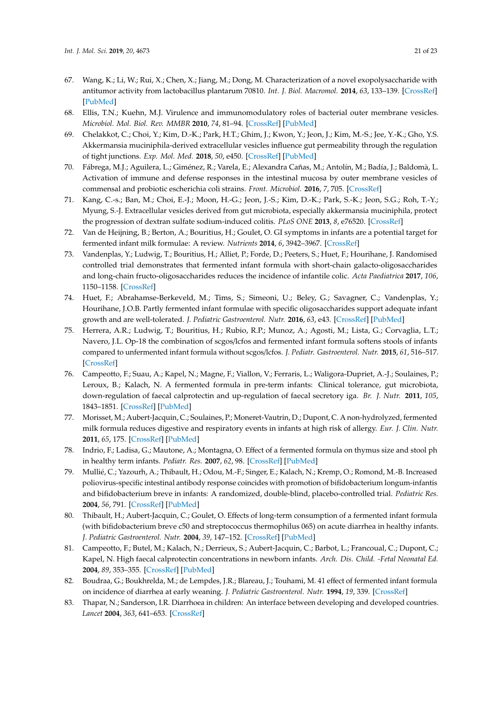- <span id="page-20-18"></span><span id="page-20-17"></span><span id="page-20-0"></span>67. Wang, K.; Li, W.; Rui, X.; Chen, X.; Jiang, M.; Dong, M. Characterization of a novel exopolysaccharide with antitumor activity from lactobacillus plantarum 70810. *Int. J. Biol. Macromol.* **2014**, *63*, 133–139. [\[CrossRef\]](http://dx.doi.org/10.1016/j.ijbiomac.2013.10.036) [\[PubMed\]](http://www.ncbi.nlm.nih.gov/pubmed/24189393)
- <span id="page-20-19"></span><span id="page-20-1"></span>68. Ellis, T.N.; Kuehn, M.J. Virulence and immunomodulatory roles of bacterial outer membrane vesicles. *Microbiol. Mol. Biol. Rev. MMBR* **2010**, *74*, 81–94. [\[CrossRef\]](http://dx.doi.org/10.1128/MMBR.00031-09) [\[PubMed\]](http://www.ncbi.nlm.nih.gov/pubmed/20197500)
- <span id="page-20-2"></span>69. Chelakkot, C.; Choi, Y.; Kim, D.-K.; Park, H.T.; Ghim, J.; Kwon, Y.; Jeon, J.; Kim, M.-S.; Jee, Y.-K.; Gho, Y.S. Akkermansia muciniphila-derived extracellular vesicles influence gut permeability through the regulation of tight junctions. *Exp. Mol. Med.* **2018**, *50*, e450. [\[CrossRef\]](http://dx.doi.org/10.1038/emm.2017.282) [\[PubMed\]](http://www.ncbi.nlm.nih.gov/pubmed/29472701)
- <span id="page-20-3"></span>70. Fábrega, M.J.; Aguilera, L.; Giménez, R.; Varela, E.; Alexandra Cañas, M.; Antolín, M.; Badía, J.; Baldomà, L. Activation of immune and defense responses in the intestinal mucosa by outer membrane vesicles of commensal and probiotic escherichia coli strains. *Front. Microbiol.* **2016**, *7*, 705. [\[CrossRef\]](http://dx.doi.org/10.3389/fmicb.2016.00705)
- <span id="page-20-20"></span><span id="page-20-4"></span>71. Kang, C.-s.; Ban, M.; Choi, E.-J.; Moon, H.-G.; Jeon, J.-S.; Kim, D.-K.; Park, S.-K.; Jeon, S.G.; Roh, T.-Y.; Myung, S.-J. Extracellular vesicles derived from gut microbiota, especially akkermansia muciniphila, protect the progression of dextran sulfate sodium-induced colitis. *PLoS ONE* **2013**, *8*, e76520. [\[CrossRef\]](http://dx.doi.org/10.1371/journal.pone.0076520)
- <span id="page-20-21"></span><span id="page-20-5"></span>72. Van de Heijning, B.; Berton, A.; Bouritius, H.; Goulet, O. GI symptoms in infants are a potential target for fermented infant milk formulae: A review. *Nutrients* **2014**, *6*, 3942–3967. [\[CrossRef\]](http://dx.doi.org/10.3390/nu6093942)
- <span id="page-20-22"></span><span id="page-20-6"></span>73. Vandenplas, Y.; Ludwig, T.; Bouritius, H.; Alliet, P.; Forde, D.; Peeters, S.; Huet, F.; Hourihane, J. Randomised controlled trial demonstrates that fermented infant formula with short-chain galacto-oligosaccharides and long-chain fructo-oligosaccharides reduces the incidence of infantile colic. *Acta Paediatrica* **2017**, *106*, 1150–1158. [\[CrossRef\]](http://dx.doi.org/10.1111/apa.13844)
- <span id="page-20-23"></span><span id="page-20-8"></span>74. Huet, F.; Abrahamse-Berkeveld, M.; Tims, S.; Simeoni, U.; Beley, G.; Savagner, C.; Vandenplas, Y.; Hourihane, J.O.B. Partly fermented infant formulae with specific oligosaccharides support adequate infant growth and are well-tolerated. *J. Pediatric Gastroenterol. Nutr.* **2016**, *63*, e43. [\[CrossRef\]](http://dx.doi.org/10.1097/MPG.0000000000001360) [\[PubMed\]](http://www.ncbi.nlm.nih.gov/pubmed/27472478)
- <span id="page-20-24"></span><span id="page-20-7"></span>75. Herrera, A.R.; Ludwig, T.; Bouritius, H.; Rubio, R.P.; Munoz, A.; Agosti, M.; Lista, G.; Corvaglia, L.T.; Navero, J.L. Op-18 the combination of scgos/lcfos and fermented infant formula softens stools of infants compared to unfermented infant formula without scgos/lcfos. *J. Pediatr. Gastroenterol. Nutr.* **2015**, *61*, 516–517. [\[CrossRef\]](http://dx.doi.org/10.1097/01.mpg.0000472222.09292.b9)
- <span id="page-20-25"></span><span id="page-20-9"></span>76. Campeotto, F.; Suau, A.; Kapel, N.; Magne, F.; Viallon, V.; Ferraris, L.; Waligora-Dupriet, A.-J.; Soulaines, P.; Leroux, B.; Kalach, N. A fermented formula in pre-term infants: Clinical tolerance, gut microbiota, down-regulation of faecal calprotectin and up-regulation of faecal secretory iga. *Br. J. Nutr.* **2011**, *105*, 1843–1851. [\[CrossRef\]](http://dx.doi.org/10.1017/S0007114510005702) [\[PubMed\]](http://www.ncbi.nlm.nih.gov/pubmed/21426607)
- <span id="page-20-13"></span>77. Morisset, M.; Aubert-Jacquin, C.; Soulaines, P.; Moneret-Vautrin, D.; Dupont, C. A non-hydrolyzed, fermented milk formula reduces digestive and respiratory events in infants at high risk of allergy. *Eur. J. Clin. Nutr.* **2011**, *65*, 175. [\[CrossRef\]](http://dx.doi.org/10.1038/ejcn.2010.250) [\[PubMed\]](http://www.ncbi.nlm.nih.gov/pubmed/21081959)
- <span id="page-20-14"></span>78. Indrio, F.; Ladisa, G.; Mautone, A.; Montagna, O. Effect of a fermented formula on thymus size and stool ph in healthy term infants. *Pediatr. Res.* **2007**, *62*, 98. [\[CrossRef\]](http://dx.doi.org/10.1203/pdr.0b013e31806772d3) [\[PubMed\]](http://www.ncbi.nlm.nih.gov/pubmed/17515847)
- <span id="page-20-11"></span>79. Mullié, C.; Yazourh, A.; Thibault, H.; Odou, M.-F.; Singer, E.; Kalach, N.; Kremp, O.; Romond, M.-B. Increased poliovirus-specific intestinal antibody response coincides with promotion of bifidobacterium longum-infantis and bifidobacterium breve in infants: A randomized, double-blind, placebo-controlled trial. *Pediatric Res.* **2004**, *56*, 791. [\[CrossRef\]](http://dx.doi.org/10.1203/01.PDR.0000141955.47550.A0) [\[PubMed\]](http://www.ncbi.nlm.nih.gov/pubmed/15347767)
- <span id="page-20-16"></span>80. Thibault, H.; Aubert-Jacquin, C.; Goulet, O. Effects of long-term consumption of a fermented infant formula (with bifidobacterium breve c50 and streptococcus thermophilus 065) on acute diarrhea in healthy infants. *J. Pediatric Gastroenterol. Nutr.* **2004**, *39*, 147–152. [\[CrossRef\]](http://dx.doi.org/10.1097/00005176-200408000-00004) [\[PubMed\]](http://www.ncbi.nlm.nih.gov/pubmed/15269618)
- <span id="page-20-12"></span>81. Campeotto, F.; Butel, M.; Kalach, N.; Derrieux, S.; Aubert-Jacquin, C.; Barbot, L.; Francoual, C.; Dupont, C.; Kapel, N. High faecal calprotectin concentrations in newborn infants. *Arch. Dis. Child. -Fetal Neonatal Ed.* **2004**, *89*, 353–355. [\[CrossRef\]](http://dx.doi.org/10.1136/adc.2002.022368) [\[PubMed\]](http://www.ncbi.nlm.nih.gov/pubmed/15210674)
- <span id="page-20-10"></span>82. Boudraa, G.; Boukhrelda, M.; de Lempdes, J.R.; Blareau, J.; Touhami, M. 41 effect of fermented infant formula on incidence of diarrhea at early weaning. *J. Pediatric Gastroenterol. Nutr.* **1994**, *19*, 339. [\[CrossRef\]](http://dx.doi.org/10.1097/00005176-199410000-00053)
- <span id="page-20-15"></span>83. Thapar, N.; Sanderson, I.R. Diarrhoea in children: An interface between developing and developed countries. *Lancet* **2004**, *363*, 641–653. [\[CrossRef\]](http://dx.doi.org/10.1016/S0140-6736(04)15599-2)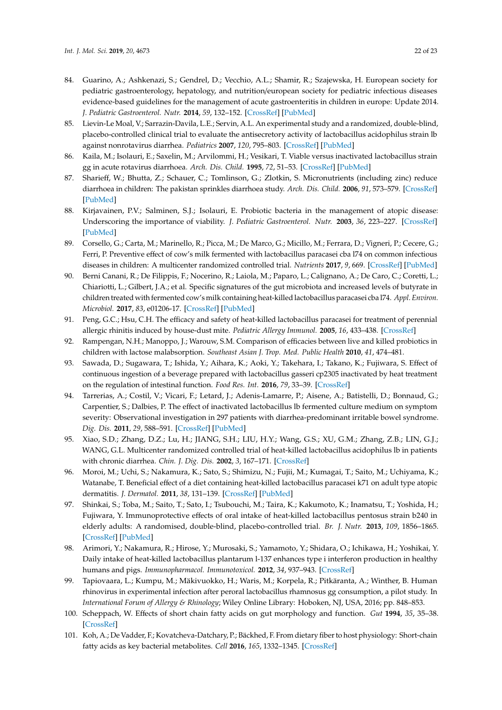- <span id="page-21-16"></span><span id="page-21-15"></span><span id="page-21-13"></span><span id="page-21-12"></span><span id="page-21-10"></span><span id="page-21-9"></span><span id="page-21-0"></span>84. Guarino, A.; Ashkenazi, S.; Gendrel, D.; Vecchio, A.L.; Shamir, R.; Szajewska, H. European society for pediatric gastroenterology, hepatology, and nutrition/european society for pediatric infectious diseases evidence-based guidelines for the management of acute gastroenteritis in children in europe: Update 2014. *J. Pediatric Gastroenterol. Nutr.* **2014**, *59*, 132–152. [\[CrossRef\]](http://dx.doi.org/10.1097/MPG.0000000000000375) [\[PubMed\]](http://www.ncbi.nlm.nih.gov/pubmed/24739189)
- <span id="page-21-14"></span><span id="page-21-11"></span><span id="page-21-1"></span>85. Lievin-Le Moal, V.; Sarrazin-Davila, L.E.; Servin, A.L. An experimental study and a randomized, double-blind, placebo-controlled clinical trial to evaluate the antisecretory activity of lactobacillus acidophilus strain lb against nonrotavirus diarrhea. *Pediatrics* **2007**, *120*, 795–803. [\[CrossRef\]](http://dx.doi.org/10.1542/peds.2006-2930) [\[PubMed\]](http://www.ncbi.nlm.nih.gov/pubmed/17768180)
- <span id="page-21-2"></span>86. Kaila, M.; Isolauri, E.; Saxelin, M.; Arvilommi, H.; Vesikari, T. Viable versus inactivated lactobacillus strain gg in acute rotavirus diarrhoea. *Arch. Dis. Child.* **1995**, *72*, 51–53. [\[CrossRef\]](http://dx.doi.org/10.1136/adc.72.1.51) [\[PubMed\]](http://www.ncbi.nlm.nih.gov/pubmed/7717739)
- <span id="page-21-26"></span><span id="page-21-3"></span>87. Sharieff, W.; Bhutta, Z.; Schauer, C.; Tomlinson, G.; Zlotkin, S. Micronutrients (including zinc) reduce diarrhoea in children: The pakistan sprinkles diarrhoea study. *Arch. Dis. Child.* **2006**, *91*, 573–579. [\[CrossRef\]](http://dx.doi.org/10.1136/adc.2005.086199) [\[PubMed\]](http://www.ncbi.nlm.nih.gov/pubmed/16556612)
- <span id="page-21-4"></span>88. Kirjavainen, P.V.; Salminen, S.J.; Isolauri, E. Probiotic bacteria in the management of atopic disease: Underscoring the importance of viability. *J. Pediatric Gastroenterol. Nutr.* **2003**, *36*, 223–227. [\[CrossRef\]](http://dx.doi.org/10.1097/00005176-200302000-00012) [\[PubMed\]](http://www.ncbi.nlm.nih.gov/pubmed/12548058)
- <span id="page-21-28"></span><span id="page-21-27"></span><span id="page-21-5"></span>89. Corsello, G.; Carta, M.; Marinello, R.; Picca, M.; De Marco, G.; Micillo, M.; Ferrara, D.; Vigneri, P.; Cecere, G.; Ferri, P. Preventive effect of cow's milk fermented with lactobacillus paracasei cba l74 on common infectious diseases in children: A multicenter randomized controlled trial. *Nutrients* **2017**, *9*, 669. [\[CrossRef\]](http://dx.doi.org/10.3390/nu9070669) [\[PubMed\]](http://www.ncbi.nlm.nih.gov/pubmed/28654019)
- <span id="page-21-24"></span><span id="page-21-6"></span>90. Berni Canani, R.; De Filippis, F.; Nocerino, R.; Laiola, M.; Paparo, L.; Calignano, A.; De Caro, C.; Coretti, L.; Chiariotti, L.; Gilbert, J.A.; et al. Specific signatures of the gut microbiota and increased levels of butyrate in children treated with fermented cow's milk containing heat-killed lactobacillus paracasei cba l74. *Appl. Environ. Microbiol.* **2017**, *83*, e01206-17. [\[CrossRef\]](http://dx.doi.org/10.1128/AEM.01206-17) [\[PubMed\]](http://www.ncbi.nlm.nih.gov/pubmed/28733284)
- <span id="page-21-7"></span>91. Peng, G.C.; Hsu, C.H. The efficacy and safety of heat-killed lactobacillus paracasei for treatment of perennial allergic rhinitis induced by house-dust mite. *Pediatric Allergy Immunol.* **2005**, *16*, 433–438. [\[CrossRef\]](http://dx.doi.org/10.1111/j.1399-3038.2005.00284.x)
- <span id="page-21-25"></span><span id="page-21-8"></span>92. Rampengan, N.H.; Manoppo, J.; Warouw, S.M. Comparison of efficacies between live and killed probiotics in children with lactose malabsorption. *Southeast Asian J. Trop. Med. Public Health* **2010**, *41*, 474–481.
- <span id="page-21-23"></span><span id="page-21-17"></span>93. Sawada, D.; Sugawara, T.; Ishida, Y.; Aihara, K.; Aoki, Y.; Takehara, I.; Takano, K.; Fujiwara, S. Effect of continuous ingestion of a beverage prepared with lactobacillus gasseri cp2305 inactivated by heat treatment on the regulation of intestinal function. *Food Res. Int.* **2016**, *79*, 33–39. [\[CrossRef\]](http://dx.doi.org/10.1016/j.foodres.2015.11.032)
- <span id="page-21-29"></span>94. Tarrerias, A.; Costil, V.; Vicari, F.; Letard, J.; Adenis-Lamarre, P.; Aisene, A.; Batistelli, D.; Bonnaud, G.; Carpentier, S.; Dalbies, P. The effect of inactivated lactobacillus lb fermented culture medium on symptom severity: Observational investigation in 297 patients with diarrhea-predominant irritable bowel syndrome. *Dig. Dis.* **2011**, *29*, 588–591. [\[CrossRef\]](http://dx.doi.org/10.1159/000332987) [\[PubMed\]](http://www.ncbi.nlm.nih.gov/pubmed/22179215)
- <span id="page-21-18"></span>95. Xiao, S.D.; Zhang, D.Z.; Lu, H.; JIANG, S.H.; LIU, H.Y.; Wang, G.S.; XU, G.M.; Zhang, Z.B.; LIN, G.J.; WANG, G.L. Multicenter randomized controlled trial of heat-killed lactobacillus acidophilus lb in patients with chronic diarrhea. *Chin. J. Dig. Dis.* **2002**, *3*, 167–171. [\[CrossRef\]](http://dx.doi.org/10.1046/j.1443-9573.2002.00095.x)
- <span id="page-21-19"></span>96. Moroi, M.; Uchi, S.; Nakamura, K.; Sato, S.; Shimizu, N.; Fujii, M.; Kumagai, T.; Saito, M.; Uchiyama, K.; Watanabe, T. Beneficial effect of a diet containing heat-killed lactobacillus paracasei k71 on adult type atopic dermatitis. *J. Dermatol.* **2011**, *38*, 131–139. [\[CrossRef\]](http://dx.doi.org/10.1111/j.1346-8138.2010.00939.x) [\[PubMed\]](http://www.ncbi.nlm.nih.gov/pubmed/21269308)
- <span id="page-21-20"></span>97. Shinkai, S.; Toba, M.; Saito, T.; Sato, I.; Tsubouchi, M.; Taira, K.; Kakumoto, K.; Inamatsu, T.; Yoshida, H.; Fujiwara, Y. Immunoprotective effects of oral intake of heat-killed lactobacillus pentosus strain b240 in elderly adults: A randomised, double-blind, placebo-controlled trial. *Br. J. Nutr.* **2013**, *109*, 1856–1865. [\[CrossRef\]](http://dx.doi.org/10.1017/S0007114512003753) [\[PubMed\]](http://www.ncbi.nlm.nih.gov/pubmed/22947249)
- <span id="page-21-21"></span>98. Arimori, Y.; Nakamura, R.; Hirose, Y.; Murosaki, S.; Yamamoto, Y.; Shidara, O.; Ichikawa, H.; Yoshikai, Y. Daily intake of heat-killed lactobacillus plantarum l-137 enhances type i interferon production in healthy humans and pigs. *Immunopharmacol. Immunotoxicol.* **2012**, *34*, 937–943. [\[CrossRef\]](http://dx.doi.org/10.3109/08923973.2012.672425)
- <span id="page-21-22"></span>99. Tapiovaara, L.; Kumpu, M.; Mäkivuokko, H.; Waris, M.; Korpela, R.; Pitkäranta, A.; Winther, B. Human rhinovirus in experimental infection after peroral lactobacillus rhamnosus gg consumption, a pilot study. In *International Forum of Allergy & Rhinology*; Wiley Online Library: Hoboken, NJ, USA, 2016; pp. 848–853.
- <span id="page-21-30"></span>100. Scheppach, W. Effects of short chain fatty acids on gut morphology and function. *Gut* **1994**, *35*, 35–38. [\[CrossRef\]](http://dx.doi.org/10.1136/gut.35.1_Suppl.S35)
- <span id="page-21-31"></span>101. Koh, A.; De Vadder, F.; Kovatcheva-Datchary, P.; Bäckhed, F. From dietary fiber to host physiology: Short-chain fatty acids as key bacterial metabolites. *Cell* **2016**, *165*, 1332–1345. [\[CrossRef\]](http://dx.doi.org/10.1016/j.cell.2016.05.041)